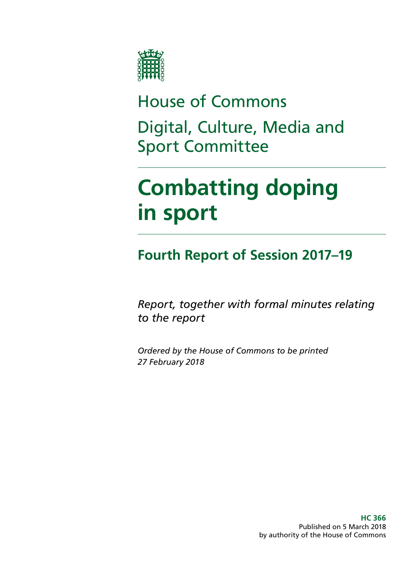

House of Commons Digital, Culture, Media and Sport Committee

# **Combatting doping in sport**

**Fourth Report of Session 2017–19**

*Report, together with formal minutes relating to the report*

*Ordered by the House of Commons to be printed 27 February 2018*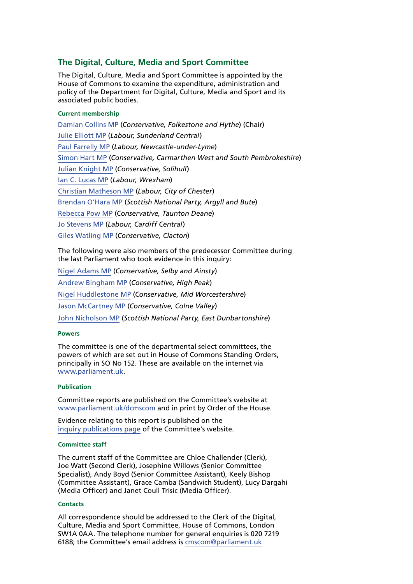#### **The Digital, Culture, Media and Sport Committee**

The Digital, Culture, Media and Sport Committee is appointed by the House of Commons to examine the expenditure, administration and policy of the Department for Digital, Culture, Media and Sport and its associated public bodies.

#### **Current membership**

[Damian Collins MP](http://www.parliament.uk/biographies/commons/damian-collins/3986) (*Conservative, Folkestone and Hythe*) (Chair) [Julie Elliott MP](http://www.parliament.uk/biographies/commons/julie-elliott/4127) (*Labour, Sunderland Central*) [Paul Farrelly MP](http://www.parliament.uk/biographies/commons/paul-farrelly/1436) (*Labour, Newcastle-under-Lyme*) [Simon Hart MP](http://www.parliament.uk/biographies/commons/simon-hart/3944) (*Conservative, Carmarthen West and South Pembrokeshire*) [Julian Knight MP](http://www.parliament.uk/biographies/commons/julian-knight/4410) (*Conservative, Solihull*) [Ian C. Lucas MP](http://www.parliament.uk/biographies/commons/ian-c.-lucas/1470) (*Labour, Wrexham*) [Christian Matheson MP](http://www.parliament.uk/biographies/commons/christian-matheson/4408) (*Labour, City of Chester*) [Brendan O'Hara MP](http://www.parliament.uk/biographies/commons/brendan-o) (*Scottish National Party, Argyll and Bute*) [Rebecca Pow MP](http://www.parliament.uk/biographies/commons/rebecca-pow/4522) (*Conservative, Taunton Deane*) [Jo Stevens MP](http://www.parliament.uk/biographies/commons/jo-stevens/4425) (*Labour, Cardiff Central*) [Giles Watling MP](http://www.parliament.uk/biographies/commons/giles-watling/4677) (*Conservative, Clacton*)

The following were also members of the predecessor Committee during the last Parliament who took evidence in this inquiry:

[Nigel Adams MP](http://www.parliament.uk/biographies/commons/nigel-adams/4057) (*Conservative, Selby and Ainsty*) [Andrew Bingham MP](http://www.parliament.uk/biographies/commons/andrew-bingham/3994) (*Conservative, High Peak*) [Nigel Huddlestone MP](http://www.parliament.uk/biographies/commons/nigel-huddleston/4407) (*Conservative, Mid Worcestershire*) [Jason McCartney MP](http://www.parliament.uk/biographies/commons/jason-mccartney/3953) (*Conservative, Colne Valley*) [John Nicholson MP](http://www.parliament.uk/biographies/commons/john-nicolson/4415) (*Scottish National Party, East Dunbartonshire*)

#### **Powers**

The committee is one of the departmental select committees, the powers of which are set out in House of Commons Standing Orders, principally in SO No 152. These are available on the internet via [www.parliament.uk.](http://www.parliament.uk)

#### **Publication**

Committee reports are published on the Committee's website at [www.parliament.uk/dcmscom](http://www.parliament.uk/dcmscom) and in print by Order of the House.

Evidence relating to this report is published on the [inquiry publications page](http://www.parliament.uk/business/committees/committees-a-z/commons-select/culture-media-and-sport-committee/inquiries/parliament-2015/blood-doping-15-16/publications/) of the Committee's website.

#### **Committee staff**

The current staff of the Committee are Chloe Challender (Clerk), Joe Watt (Second Clerk), Josephine Willows (Senior Committee Specialist), Andy Boyd (Senior Committee Assistant), Keely Bishop (Committee Assistant), Grace Camba (Sandwich Student), Lucy Dargahi (Media Officer) and Janet Coull Trisic (Media Officer).

#### **Contacts**

All correspondence should be addressed to the Clerk of the Digital, Culture, Media and Sport Committee, House of Commons, London SW1A 0AA. The telephone number for general enquiries is 020 7219 6188; the Committee's email address is [cmscom@parliament.uk](mailto:cmscom@parliament.uk)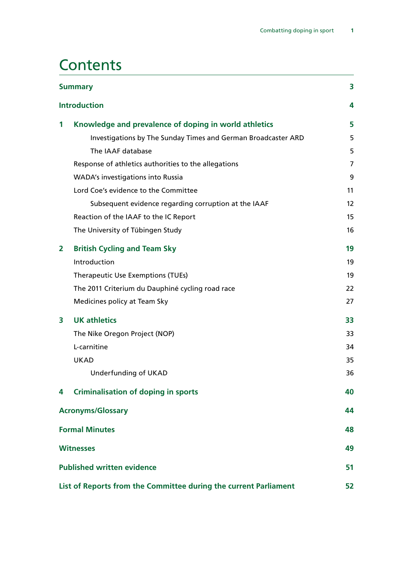## **Contents**

|                                                                  | <b>Summary</b>                                                | 3                 |
|------------------------------------------------------------------|---------------------------------------------------------------|-------------------|
|                                                                  | <b>Introduction</b>                                           | 4                 |
| 1                                                                | Knowledge and prevalence of doping in world athletics         | 5                 |
|                                                                  | Investigations by The Sunday Times and German Broadcaster ARD | 5                 |
|                                                                  | The IAAF database                                             | 5                 |
|                                                                  | Response of athletics authorities to the allegations          | 7                 |
|                                                                  | <b>WADA's investigations into Russia</b>                      | 9                 |
|                                                                  | Lord Coe's evidence to the Committee                          | 11                |
|                                                                  | Subsequent evidence regarding corruption at the IAAF          | $12 \overline{ }$ |
|                                                                  | Reaction of the IAAF to the IC Report                         | 15                |
|                                                                  | The University of Tübingen Study                              | 16                |
| 2                                                                | <b>British Cycling and Team Sky</b>                           | 19                |
|                                                                  | Introduction                                                  | 19                |
|                                                                  | <b>Therapeutic Use Exemptions (TUEs)</b>                      | 19                |
|                                                                  | The 2011 Criterium du Dauphiné cycling road race              | 22                |
|                                                                  | Medicines policy at Team Sky                                  | 27                |
| 3                                                                | <b>UK athletics</b>                                           | 33                |
|                                                                  | The Nike Oregon Project (NOP)                                 | 33                |
|                                                                  | L-carnitine                                                   | 34                |
|                                                                  | <b>UKAD</b>                                                   | 35                |
|                                                                  | Underfunding of UKAD                                          | 36                |
| 4                                                                | <b>Criminalisation of doping in sports</b>                    | 40                |
|                                                                  | <b>Acronyms/Glossary</b>                                      | 44                |
|                                                                  | <b>Formal Minutes</b>                                         | 48                |
|                                                                  | <b>Witnesses</b>                                              | 49                |
| <b>Published written evidence</b>                                |                                                               |                   |
| List of Reports from the Committee during the current Parliament |                                                               |                   |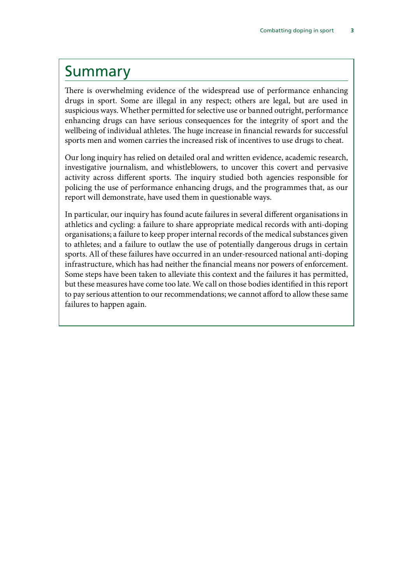### <span id="page-4-0"></span>Summary

There is overwhelming evidence of the widespread use of performance enhancing drugs in sport. Some are illegal in any respect; others are legal, but are used in suspicious ways. Whether permitted for selective use or banned outright, performance enhancing drugs can have serious consequences for the integrity of sport and the wellbeing of individual athletes. The huge increase in financial rewards for successful sports men and women carries the increased risk of incentives to use drugs to cheat.

Our long inquiry has relied on detailed oral and written evidence, academic research, investigative journalism, and whistleblowers, to uncover this covert and pervasive activity across different sports. The inquiry studied both agencies responsible for policing the use of performance enhancing drugs, and the programmes that, as our report will demonstrate, have used them in questionable ways.

In particular, our inquiry has found acute failures in several different organisations in athletics and cycling: a failure to share appropriate medical records with anti-doping organisations; a failure to keep proper internal records of the medical substances given to athletes; and a failure to outlaw the use of potentially dangerous drugs in certain sports. All of these failures have occurred in an under-resourced national anti-doping infrastructure, which has had neither the financial means nor powers of enforcement. Some steps have been taken to alleviate this context and the failures it has permitted, but these measures have come too late. We call on those bodies identified in this report to pay serious attention to our recommendations; we cannot afford to allow these same failures to happen again.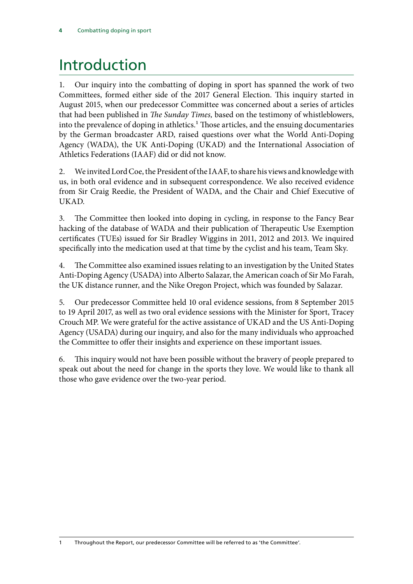## <span id="page-5-0"></span>Introduction

1. Our inquiry into the combatting of doping in sport has spanned the work of two Committees, formed either side of the 2017 General Election. This inquiry started in August 2015, when our predecessor Committee was concerned about a series of articles that had been published in *The Sunday Times,* based on the testimony of whistleblowers, into the prevalence of doping in athletics.<sup>1</sup> Those articles, and the ensuing documentaries by the German broadcaster ARD, raised questions over what the World Anti-Doping Agency (WADA), the UK Anti-Doping (UKAD) and the International Association of Athletics Federations (IAAF) did or did not know.

2. We invited Lord Coe, the President of the IAAF, to share his views and knowledge with us, in both oral evidence and in subsequent correspondence. We also received evidence from Sir Craig Reedie, the President of WADA, and the Chair and Chief Executive of UKAD.

3. The Committee then looked into doping in cycling, in response to the Fancy Bear hacking of the database of WADA and their publication of Therapeutic Use Exemption certificates (TUEs) issued for Sir Bradley Wiggins in 2011, 2012 and 2013. We inquired specifically into the medication used at that time by the cyclist and his team, Team Sky.

4. The Committee also examined issues relating to an investigation by the United States Anti-Doping Agency (USADA) into Alberto Salazar, the American coach of Sir Mo Farah, the UK distance runner, and the Nike Oregon Project, which was founded by Salazar.

5. Our predecessor Committee held 10 oral evidence sessions, from 8 September 2015 to 19 April 2017, as well as two oral evidence sessions with the Minister for Sport, Tracey Crouch MP. We were grateful for the active assistance of UKAD and the US Anti-Doping Agency (USADA) during our inquiry, and also for the many individuals who approached the Committee to offer their insights and experience on these important issues.

6. This inquiry would not have been possible without the bravery of people prepared to speak out about the need for change in the sports they love. We would like to thank all those who gave evidence over the two-year period.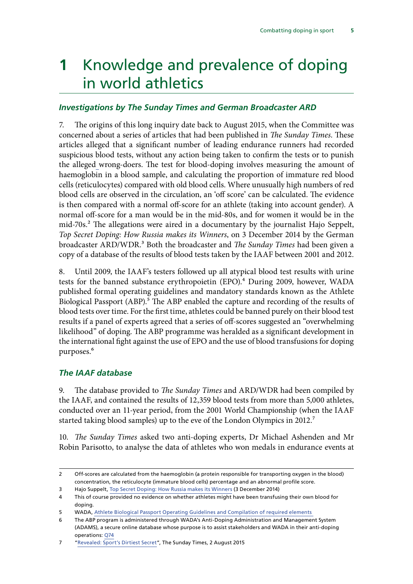## <span id="page-6-0"></span>**1** Knowledge and prevalence of doping in world athletics

#### *Investigations by The Sunday Times and German Broadcaster ARD*

7. The origins of this long inquiry date back to August 2015, when the Committee was concerned about a series of articles that had been published in *The Sunday Times*. These articles alleged that a significant number of leading endurance runners had recorded suspicious blood tests, without any action being taken to confirm the tests or to punish the alleged wrong-doers. The test for blood-doping involves measuring the amount of haemoglobin in a blood sample, and calculating the proportion of immature red blood cells (reticulocytes) compared with old blood cells. Where unusually high numbers of red blood cells are observed in the circulation, an 'off score' can be calculated. The evidence is then compared with a normal off-score for an athlete (taking into account gender). A normal off-score for a man would be in the mid-80s, and for women it would be in the mid-70s.<sup>2</sup> The allegations were aired in a documentary by the journalist Hajo Seppelt, *Top Secret Doping: How Russia makes its Winners*, on 3 December 2014 by the German broadcaster ARD/WDR.3 Both the broadcaster and *The Sunday Times* had been given a copy of a database of the results of blood tests taken by the IAAF between 2001 and 2012.

8. Until 2009, the IAAF's testers followed up all atypical blood test results with urine tests for the banned substance erythropoietin (EPO).<sup>4</sup> During 2009, however, WADA published formal operating guidelines and mandatory standards known as the Athlete Biological Passport (ABP).<sup>5</sup> The ABP enabled the capture and recording of the results of blood tests over time. For the first time, athletes could be banned purely on their blood test results if a panel of experts agreed that a series of off-scores suggested an "overwhelming likelihood" of doping. The ABP programme was heralded as a significant development in the international fight against the use of EPO and the use of blood transfusions for doping purposes.<sup>6</sup>

#### *The IAAF database*

9. The database provided to *The Sunday Times* and ARD/WDR had been compiled by the IAAF, and contained the results of 12,359 blood tests from more than 5,000 athletes, conducted over an 11-year period, from the 2001 World Championship (when the IAAF started taking blood samples) up to the eve of the London Olympics in 2012.<sup>7</sup>

10. *The Sunday Times* asked two anti-doping experts, Dr Michael Ashenden and Mr Robin Parisotto, to analyse the data of athletes who won medals in endurance events at

<sup>2</sup> Off-scores are calculated from the haemoglobin (a protein responsible for transporting oxygen in the blood) concentration, the reticulocyte (immature blood cells) percentage and an abnormal profile score.

<sup>3</sup> Hajo Suppelt, [Top Secret Doping: How Russia makes its Winners](https://www.autentic-distribution.com/72/pid/594/Top-Secret-Doping:-How-Russia-Makes-its-Winners.htm) (3 December 2014)

<sup>4</sup> This of course provided no evidence on whether athletes might have been transfusing their own blood for doping.

<sup>5</sup> WADA, [Athlete Biological Passport Operating Guidelines and Compilation of required elements](https://wada-main-prod.s3.amazonaws.com/resources/files/wada-abp-operating-guidelines-v5.0-en.pdf) 

<sup>6</sup> The ABP program is administered through WADA's Anti-Doping Administration and Management System (ADAMS), a secure online database whose purpose is to assist stakeholders and WADA in their anti-doping operations: [Q74](http://data.parliament.uk/writtenevidence/committeeevidence.svc/evidencedocument/culture-media-and-sport-committee/blood-doping-in-athletics/oral/21309.html)

<sup>7</sup> "[Revealed: Sport's Dirtiest Secret](https://www.thetimes.co.uk/article/revealed-sports-dirtiest-secret-zpnxc7ndsfp)", The Sunday Times, 2 August 2015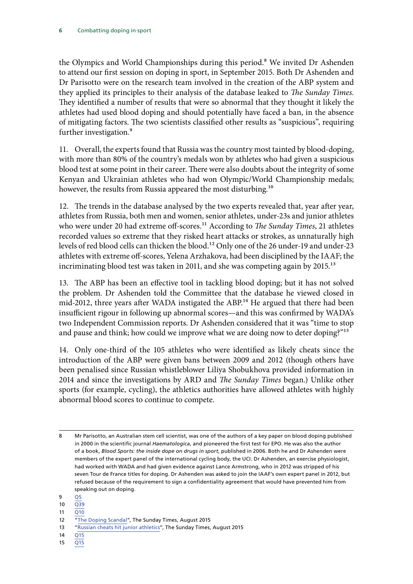the Olympics and World Championships during this period.<sup>8</sup> We invited Dr Ashenden to attend our first session on doping in sport, in September 2015. Both Dr Ashenden and Dr Parisotto were on the research team involved in the creation of the ABP system and they applied its principles to their analysis of the database leaked to *The Sunday Times*. They identified a number of results that were so abnormal that they thought it likely the athletes had used blood doping and should potentially have faced a ban, in the absence of mitigating factors. The two scientists classified other results as "suspicious", requiring further investigation.<sup>9</sup>

11. Overall, the experts found that Russia was the country most tainted by blood-doping, with more than 80% of the country's medals won by athletes who had given a suspicious blood test at some point in their career. There were also doubts about the integrity of some Kenyan and Ukrainian athletes who had won Olympic/World Championship medals; however, the results from Russia appeared the most disturbing.<sup>10</sup>

12. The trends in the database analysed by the two experts revealed that, year after year, athletes from Russia, both men and women, senior athletes, under-23s and junior athletes who were under 20 had extreme off-scores.<sup>11</sup> According to *The Sunday Times*, 21 athletes recorded values so extreme that they risked heart attacks or strokes, as unnaturally high levels of red blood cells can thicken the blood.12 Only one of the 26 under-19 and under-23 athletes with extreme off-scores, Yelena Arzhakova, had been disciplined by the IAAF; the incriminating blood test was taken in 2011, and she was competing again by 2015.<sup>13</sup>

13. The ABP has been an effective tool in tackling blood doping; but it has not solved the problem. Dr Ashenden told the Committee that the database he viewed closed in mid-2012, three years after WADA instigated the ABP.<sup>14</sup> He argued that there had been insufficient rigour in following up abnormal scores—and this was confirmed by WADA's two Independent Commission reports. Dr Ashenden considered that it was "time to stop and pause and think; how could we improve what we are doing now to deter doping?"<sup>15</sup>

14. Only one-third of the 105 athletes who were identified as likely cheats since the introduction of the ABP were given bans between 2009 and 2012 (though others have been penalised since Russian whistleblower Liliya Shobukhova provided information in 2014 and since the investigations by ARD and *The Sunday Times* began.) Unlike other sports (for example, cycling), the athletics authorities have allowed athletes with highly abnormal blood scores to continue to compete.

11 O10

- 13 **"[Russian cheats hit junior athletics](https://www.thetimes.co.uk/article/russian-cheats-hit-junior-athletics-jw9qbsn6mt5)", The Sunday Times, August 2015**
- 14 [Q15](http://data.parliament.uk/writtenevidence/committeeevidence.svc/evidencedocument/culture-media-and-sport-committee/blood-doping-in-athletics/oral/21309.html)
- 15 [Q15](http://data.parliament.uk/writtenevidence/committeeevidence.svc/evidencedocument/culture-media-and-sport-committee/blood-doping-in-athletics/oral/21309.html)

<sup>8</sup> Mr Parisotto, an Australian stem cell scientist, was one of the authors of a key paper on blood doping published in 2000 in the scientific journal *Haematologica*, and pioneered the first test for EPO. He was also the author of a book, *Blood Sports: the inside dope on drugs in sport*, published in 2006. Both he and Dr Ashenden were members of the expert panel of the international cycling body, the UCI. Dr Ashenden, an exercise physiologist, had worked with WADA and had given evidence against Lance Armstrong, who in 2012 was stripped of his seven Tour de France titles for doping. Dr Ashenden was asked to join the IAAF's own expert panel in 2012, but refused because of the requirement to sign a confidentiality agreement that would have prevented him from speaking out on doping.

<sup>9</sup> [Q5](http://data.parliament.uk/writtenevidence/committeeevidence.svc/evidencedocument/culture-media-and-sport-committee/blood-doping-in-athletics/oral/21309.html)

 $10 \overline{Q}39$ 

<sup>12</sup> "The Doping Scandal", The Sunday Times, August 2015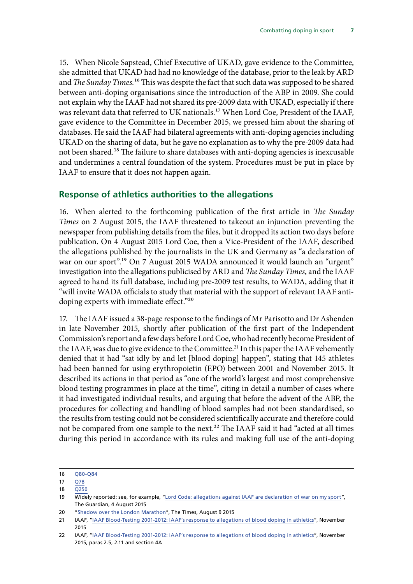<span id="page-8-0"></span>15. When Nicole Sapstead, Chief Executive of UKAD, gave evidence to the Committee, she admitted that UKAD had had no knowledge of the database, prior to the leak by ARD and *The Sunday Times*.<sup>16</sup> This was despite the fact that such data was supposed to be shared between anti-doping organisations since the introduction of the ABP in 2009. She could not explain why the IAAF had not shared its pre-2009 data with UKAD, especially if there was relevant data that referred to UK nationals.17 When Lord Coe, President of the IAAF, gave evidence to the Committee in December 2015, we pressed him about the sharing of databases. He said the IAAF had bilateral agreements with anti-doping agencies including UKAD on the sharing of data, but he gave no explanation as to why the pre-2009 data had not been shared.<sup>18</sup> The failure to share databases with anti-doping agencies is inexcusable and undermines a central foundation of the system. Procedures must be put in place by IAAF to ensure that it does not happen again.

#### **Response of athletics authorities to the allegations**

16. When alerted to the forthcoming publication of the first article in *The Sunday Times* on 2 August 2015, the IAAF threatened to takeout an injunction preventing the newspaper from publishing details from the files, but it dropped its action two days before publication. On 4 August 2015 Lord Coe, then a Vice-President of the IAAF, described the allegations published by the journalists in the UK and Germany as "a declaration of war on our sport".<sup>19</sup> On 7 August 2015 WADA announced it would launch an "urgent" investigation into the allegations publicised by ARD and *The Sunday Times*, and the IAAF agreed to hand its full database, including pre-2009 test results, to WADA, adding that it "will invite WADA officials to study that material with the support of relevant IAAF antidoping experts with immediate effect."20

17. The IAAF issued a 38-page response to the findings of Mr Parisotto and Dr Ashenden in late November 2015, shortly after publication of the first part of the Independent Commission's report and a few days before Lord Coe, who had recently become President of the IAAF, was due to give evidence to the Committee.<sup>21</sup> In this paper the IAAF vehemently denied that it had "sat idly by and let [blood doping] happen", stating that 145 athletes had been banned for using erythropoietin (EPO) between 2001 and November 2015. It described its actions in that period as "one of the world's largest and most comprehensive blood testing programmes in place at the time", citing in detail a number of cases where it had investigated individual results, and arguing that before the advent of the ABP, the procedures for collecting and handling of blood samples had not been standardised, so the results from testing could not be considered scientifically accurate and therefore could not be compared from one sample to the next.<sup>22</sup> The IAAF said it had "acted at all times during this period in accordance with its rules and making full use of the anti-doping

20 "[Shadow over the London Marathon](https://www.thetimes.co.uk/article/shadow-over-the-london-marathon-tjlbfb5mg9v)", The Times, August 9 2015

<sup>16</sup> [Q80-Q8](http://data.parliament.uk/writtenevidence/committeeevidence.svc/evidencedocument/culture-media-and-sport-committee/blood-doping-in-athletics/oral/21309.html)4

<sup>17</sup> [Q78](http://data.parliament.uk/writtenevidence/committeeevidence.svc/evidencedocument/culture-media-and-sport-committee/blood-doping-in-athletics/oral/21309.html)

<sup>18</sup> [Q250](http://data.parliament.uk/writtenevidence/committeeevidence.svc/evidencedocument/culture-media-and-sport-committee/blood-doping-in-athletics/oral/25643.html)

<sup>19</sup> Widely reported: see, for example, ["Lord Code: allegations against IAAF are declaration of war on my sport](https://www.theguardian.com/sport/2015/aug/04/lord-coe-allegations-iaaf-drug-testing)", The Guardian, 4 August 2015

<sup>21</sup> IAAF, ["IAAF Blood-Testing 2001-2012: IAAF's response to allegations of blood doping in athletics"](https://www.iaaf.org/about-iaaf/documents/anti-doping), November 2015

<sup>22</sup> IAAF, ["IAAF Blood-Testing 2001-2012: IAAF's response to allegations of blood doping in athletics"](https://www.iaaf.org/about-iaaf/documents/anti-doping), November 2015, paras 2.5, 2.11 and section 4A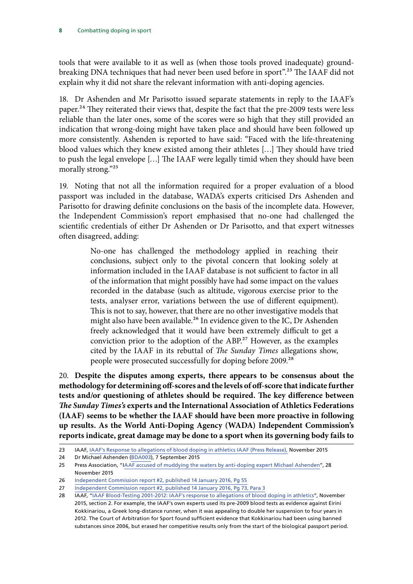tools that were available to it as well as (when those tools proved inadequate) groundbreaking DNA techniques that had never been used before in sport".23 The IAAF did not explain why it did not share the relevant information with anti-doping agencies.

18. Dr Ashenden and Mr Parisotto issued separate statements in reply to the IAAF's paper.<sup>24</sup> They reiterated their views that, despite the fact that the pre-2009 tests were less reliable than the later ones, some of the scores were so high that they still provided an indication that wrong-doing might have taken place and should have been followed up more consistently. Ashenden is reported to have said: "Faced with the life-threatening blood values which they knew existed among their athletes […] They should have tried to push the legal envelope […] The IAAF were legally timid when they should have been morally strong."25

19. Noting that not all the information required for a proper evaluation of a blood passport was included in the database, WADA's experts criticised Drs Ashenden and Parisotto for drawing definite conclusions on the basis of the incomplete data. However, the Independent Commission's report emphasised that no-one had challenged the scientific credentials of either Dr Ashenden or Dr Parisotto, and that expert witnesses often disagreed, adding:

> No-one has challenged the methodology applied in reaching their conclusions, subject only to the pivotal concern that looking solely at information included in the IAAF database is not sufficient to factor in all of the information that might possibly have had some impact on the values recorded in the database (such as altitude, vigorous exercise prior to the tests, analyser error, variations between the use of different equipment). This is not to say, however, that there are no other investigative models that might also have been available.<sup>26</sup> In evidence given to the IC, Dr Ashenden freely acknowledged that it would have been extremely difficult to get a conviction prior to the adoption of the ABP.<sup>27</sup> However, as the examples cited by the IAAF in its rebuttal of *The Sunday Times* allegations show, people were prosecuted successfully for doping before 2009.<sup>28</sup>

20. **Despite the disputes among experts, there appears to be consensus about the methodology for determining off-scores and the levels of off-score that indicate further tests and/or questioning of athletes should be required. The key difference between**  *The Sunday Times's* **experts and the International Association of Athletics Federations (IAAF) seems to be whether the IAAF should have been more proactive in following up results. As the World Anti-Doping Agency (WADA) Independent Commission's reports indicate, great damage may be done to a sport when its governing body fails to** 

24 Dr Michael Ashenden [\(BDA003\)](http://data.parliament.uk/writtenevidence/committeeevidence.svc/evidencedocument/culture-media-and-sport-committee/combatting-doping-in-sport/written/21284.pdf), 7 September 2015

<sup>23</sup> IAAF, IAA[F's Response to allegations of blood doping in athletics IAAF](https://www.iaaf.org/news/press-release/iaaf-response-blood-testing) (Press Release), November 2015

<sup>25</sup> Press Association, "I[AAF accused of muddying the waters by anti-doping expert Michael Ashenden](http://www.dailymail.co.uk/wires/pa/article-3337343/IAAF-accused-muddying-waters-anti-doping-expert-Michael-Ashenden.html)", 28 November 2015

<sup>26</sup> [Independent Commission report #2, published 14 January 2016, Pg 55](https://wada-main-prod.s3.amazonaws.com/resources/files/wada_independent_commission_report_2_2016_en_rev.pdf)

<sup>27</sup> [Independent Commission report #2, published 14 January 2016, Pg 73, Para 3](https://wada-main-prod.s3.amazonaws.com/resources/files/wada-independent-commission-tor-addendum-en.pdf)

<sup>28</sup> IAAF, ["IAAF Blood-Testing 2001-2012: IAAF's response to allegations of blood doping in athletics"](https://www.iaaf.org/about-iaaf/documents/anti-doping), November 2015, section 2. For example, the IAAF's own experts used its pre-2009 blood tests as evidence against Eirini Kokkinariou, a Greek long-distance runner, when it was appealing to double her suspension to four years in 2012. The Court of Arbitration for Sport found sufficient evidence that Kokkinariou had been using banned substances since 2006, but erased her competitive results only from the start of the biological passport period.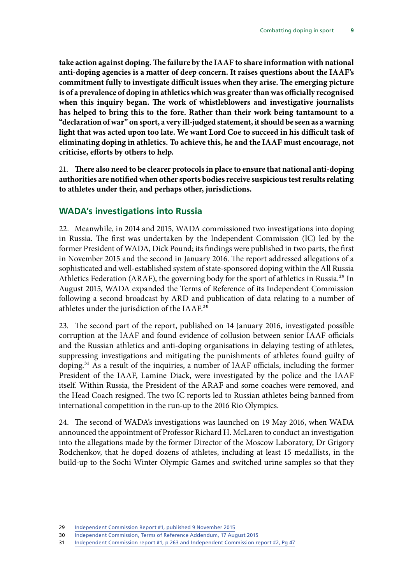<span id="page-10-0"></span>**take action against doping. The failure by the IAAF to share information with national anti-doping agencies is a matter of deep concern. It raises questions about the IAAF's commitment fully to investigate difficult issues when they arise. The emerging picture is of a prevalence of doping in athletics which was greater than was officially recognised when this inquiry began. The work of whistleblowers and investigative journalists has helped to bring this to the fore. Rather than their work being tantamount to a "declaration of war" on sport, a very ill-judged statement, it should be seen as a warning light that was acted upon too late. We want Lord Coe to succeed in his difficult task of eliminating doping in athletics. To achieve this, he and the IAAF must encourage, not criticise, efforts by others to help.**

21. **There also need to be clearer protocols in place to ensure that national anti-doping authorities are notified when other sports bodies receive suspicious test results relating to athletes under their, and perhaps other, jurisdictions.**

### **WADA's investigations into Russia**

22. Meanwhile, in 2014 and 2015, WADA commissioned two investigations into doping in Russia. The first was undertaken by the Independent Commission (IC) led by the former President of WADA, Dick Pound; its findings were published in two parts, the first in November 2015 and the second in January 2016. The report addressed allegations of a sophisticated and well-established system of state-sponsored doping within the All Russia Athletics Federation (ARAF), the governing body for the sport of athletics in Russia.<sup>29</sup> In August 2015, WADA expanded the Terms of Reference of its Independent Commission following a second broadcast by ARD and publication of data relating to a number of athletes under the jurisdiction of the IAAF.30

23. The second part of the report, published on 14 January 2016, investigated possible corruption at the IAAF and found evidence of collusion between senior IAAF officials and the Russian athletics and anti-doping organisations in delaying testing of athletes, suppressing investigations and mitigating the punishments of athletes found guilty of doping.<sup>31</sup> As a result of the inquiries, a number of IAAF officials, including the former President of the IAAF, Lamine Diack, were investigated by the police and the IAAF itself. Within Russia, the President of the ARAF and some coaches were removed, and the Head Coach resigned. The two IC reports led to Russian athletes being banned from international competition in the run-up to the 2016 Rio Olympics.

24. The second of WADA's investigations was launched on 19 May 2016, when WADA announced the appointment of Professor Richard H. McLaren to conduct an investigation into the allegations made by the former Director of the Moscow Laboratory, Dr Grigory Rodchenkov, that he doped dozens of athletes, including at least 15 medallists, in the build-up to the Sochi Winter Olympic Games and switched urine samples so that they

<sup>29</sup> [Independent Commission Report #1, published 9 November 2015](https://wada-main-prod.s3.amazonaws.com/resources/files/wada_independent_commission_report_1_en.pdf)

<sup>30</sup> [Independent Commission, Terms of Reference Addendum, 17 August 2015](https://wada-main-prod.s3.amazonaws.com/resources/files/wada-independent-commission-tor-addendum-en.pdf)

<sup>31</sup> [Independent Commission report #1, p 263](https://wada-main-prod.s3.amazonaws.com/resources/files/wada_independent_commission_report_1_en.pdf) and [Independent Commission report #2, Pg 47](https://wada-main-prod.s3.amazonaws.com/resources/files/wada_independent_commission_report_2_2016_en_rev.pdf)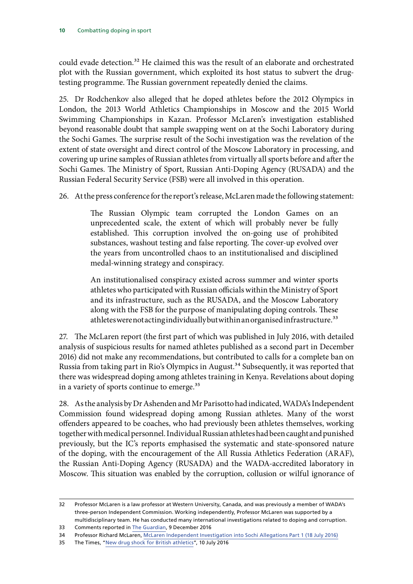could evade detection.<sup>32</sup> He claimed this was the result of an elaborate and orchestrated plot with the Russian government, which exploited its host status to subvert the drugtesting programme. The Russian government repeatedly denied the claims.

25. Dr Rodchenkov also alleged that he doped athletes before the 2012 Olympics in London, the 2013 World Athletics Championships in Moscow and the 2015 World Swimming Championships in Kazan. Professor McLaren's investigation established beyond reasonable doubt that sample swapping went on at the Sochi Laboratory during the Sochi Games. The surprise result of the Sochi investigation was the revelation of the extent of state oversight and direct control of the Moscow Laboratory in processing, and covering up urine samples of Russian athletes from virtually all sports before and after the Sochi Games. The Ministry of Sport, Russian Anti-Doping Agency (RUSADA) and the Russian Federal Security Service (FSB) were all involved in this operation.

26. At the press conference for the report's release, McLaren made the following statement:

The Russian Olympic team corrupted the London Games on an unprecedented scale, the extent of which will probably never be fully established. This corruption involved the on-going use of prohibited substances, washout testing and false reporting. The cover-up evolved over the years from uncontrolled chaos to an institutionalised and disciplined medal-winning strategy and conspiracy.

An institutionalised conspiracy existed across summer and winter sports athletes who participated with Russian officials within the Ministry of Sport and its infrastructure, such as the RUSADA, and the Moscow Laboratory along with the FSB for the purpose of manipulating doping controls. These athletes were not acting individually but within an organised infrastructure.<sup>33</sup>

27. The McLaren report (the first part of which was published in July 2016, with detailed analysis of suspicious results for named athletes published as a second part in December 2016) did not make any recommendations, but contributed to calls for a complete ban on Russia from taking part in Rio's Olympics in August.<sup>34</sup> Subsequently, it was reported that there was widespread doping among athletes training in Kenya. Revelations about doping in a variety of sports continue to emerge.<sup>35</sup>

28. As the analysis by Dr Ashenden and Mr Parisotto had indicated, WADA's Independent Commission found widespread doping among Russian athletes. Many of the worst offenders appeared to be coaches, who had previously been athletes themselves, working together with medical personnel. Individual Russian athletes had been caught and punished previously, but the IC's reports emphasised the systematic and state-sponsored nature of the doping, with the encouragement of the All Russia Athletics Federation (ARAF), the Russian Anti-Doping Agency (RUSADA) and the WADA-accredited laboratory in Moscow. This situation was enabled by the corruption, collusion or wilful ignorance of

<sup>32</sup> Professor McLaren is a law professor at Western University, Canada, and was previously a member of WADA's three-person Independent Commission. Working independently, Professor McLaren was supported by a multidisciplinary team. He has conducted many international investigations related to doping and corruption.

<sup>33</sup> Comments reported in [The Guardian](https://www.theguardian.com/sport/2016/dec/09/more-than-1000-russian-athletes-benefitted-from-state-sponsored-doping), 9 December 2016

<sup>34</sup> Professor Richard McLaren, [McLaren Independent Investigation into Sochi Allegations](https://www.wada-ama.org/en/resources/doping-control-process/mclaren-independent-investigations-report-into-sochi-allegations) Part 1 (18 July 2016)

<sup>35</sup> The Times, ["New drug shock for British athletics](https://www.thetimes.co.uk/article/new-drug-shock-for-british-athletics-z6lx3zm6r)", 10 July 2016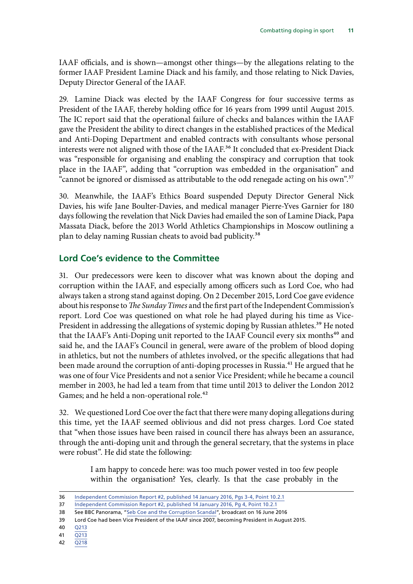<span id="page-12-0"></span>IAAF officials, and is shown—amongst other things—by the allegations relating to the former IAAF President Lamine Diack and his family, and those relating to Nick Davies, Deputy Director General of the IAAF.

29. Lamine Diack was elected by the IAAF Congress for four successive terms as President of the IAAF, thereby holding office for 16 years from 1999 until August 2015. The IC report said that the operational failure of checks and balances within the IAAF gave the President the ability to direct changes in the established practices of the Medical and Anti-Doping Department and enabled contracts with consultants whose personal interests were not aligned with those of the IAAF.<sup>36</sup> It concluded that ex-President Diack was "responsible for organising and enabling the conspiracy and corruption that took place in the IAAF", adding that "corruption was embedded in the organisation" and "cannot be ignored or dismissed as attributable to the odd renegade acting on his own".37

30. Meanwhile, the IAAF's Ethics Board suspended Deputy Director General Nick Davies, his wife Jane Boulter-Davies, and medical manager Pierre-Yves Garnier for 180 days following the revelation that Nick Davies had emailed the son of Lamine Diack, Papa Massata Diack, before the 2013 World Athletics Championships in Moscow outlining a plan to delay naming Russian cheats to avoid bad publicity.<sup>38</sup>

#### **Lord Coe's evidence to the Committee**

31. Our predecessors were keen to discover what was known about the doping and corruption within the IAAF, and especially among officers such as Lord Coe, who had always taken a strong stand against doping. On 2 December 2015, Lord Coe gave evidence about his response to *The Sunday Times* and the first part of the Independent Commission's report. Lord Coe was questioned on what role he had played during his time as Vice-President in addressing the allegations of systemic doping by Russian athletes.<sup>39</sup> He noted that the IAAF's Anti-Doping unit reported to the IAAF Council every six months<sup>40</sup> and said he, and the IAAF's Council in general, were aware of the problem of blood doping in athletics, but not the numbers of athletes involved, or the specific allegations that had been made around the corruption of anti-doping processes in Russia.<sup>41</sup> He argued that he was one of four Vice Presidents and not a senior Vice President; while he became a council member in 2003, he had led a team from that time until 2013 to deliver the London 2012 Games; and he held a non-operational role.<sup>42</sup>

32. We questioned Lord Coe over the fact that there were many doping allegations during this time, yet the IAAF seemed oblivious and did not press charges. Lord Coe stated that "when those issues have been raised in council there has always been an assurance, through the anti-doping unit and through the general secretary, that the systems in place were robust". He did state the following:

> I am happy to concede here: was too much power vested in too few people within the organisation? Yes, clearly. Is that the case probably in the

<sup>36</sup> [Independent Commission Report #2, published 14 January 2016, Pgs 3-4, Point 10.2.1](https://wada-main-prod.s3.amazonaws.com/resources/files/wada_independent_commission_report_2_2016_en_rev.pdf)

<sup>37</sup> [Independent Commission Report #2, published 14 January 2016, Pg 4, Point 10.2.1](https://wada-main-prod.s3.amazonaws.com/resources/files/wada_independent_commission_report_2_2016_en_rev.pdf)

<sup>38</sup> See BBC Panorama, "[Seb Coe and the Corruption Scandal"](http://www.bbc.co.uk/iplayer/episode/b07gy406/panorama-seb-coe-and-the-corruption-scandal), broadcast on 16 June 2016

<sup>39</sup> Lord Coe had been Vice President of the IAAF since 2007, becoming President in August 2015.

<sup>40</sup> [Q21](http://data.parliament.uk/writtenevidence/committeeevidence.svc/evidencedocument/culture-media-and-sport-committee/blood-doping-in-athletics/oral/25643.html)3

<sup>41</sup> [Q213](http://data.parliament.uk/writtenevidence/committeeevidence.svc/evidencedocument/culture-media-and-sport-committee/blood-doping-in-athletics/oral/25643.html)

<sup>42</sup> [Q218](http://data.parliament.uk/writtenevidence/committeeevidence.svc/evidencedocument/culture-media-and-sport-committee/blood-doping-in-athletics/oral/25643.html)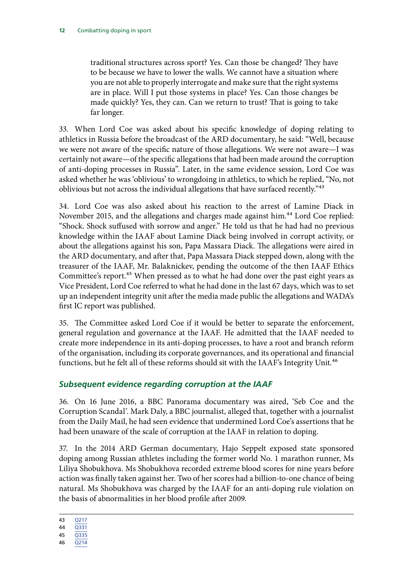<span id="page-13-0"></span>traditional structures across sport? Yes. Can those be changed? They have to be because we have to lower the walls. We cannot have a situation where you are not able to properly interrogate and make sure that the right systems are in place. Will I put those systems in place? Yes. Can those changes be made quickly? Yes, they can. Can we return to trust? That is going to take far longer.

33. When Lord Coe was asked about his specific knowledge of doping relating to athletics in Russia before the broadcast of the ARD documentary, he said: "Well, because we were not aware of the specific nature of those allegations. We were not aware—I was certainly not aware—of the specific allegations that had been made around the corruption of anti-doping processes in Russia". Later, in the same evidence session, Lord Coe was asked whether he was 'oblivious' to wrongdoing in athletics, to which he replied, "No, not oblivious but not across the individual allegations that have surfaced recently."43

34. Lord Coe was also asked about his reaction to the arrest of Lamine Diack in November 2015, and the allegations and charges made against him.44 Lord Coe replied: "Shock. Shock suffused with sorrow and anger." He told us that he had had no previous knowledge within the IAAF about Lamine Diack being involved in corrupt activity, or about the allegations against his son, Papa Massara Diack. The allegations were aired in the ARD documentary, and after that, Papa Massara Diack stepped down, along with the treasurer of the IAAF, Mr. Balaknickev, pending the outcome of the then IAAF Ethics Committee's report.<sup>45</sup> When pressed as to what he had done over the past eight years as Vice President, Lord Coe referred to what he had done in the last 67 days, which was to set up an independent integrity unit after the media made public the allegations and WADA's first IC report was published.

35. The Committee asked Lord Coe if it would be better to separate the enforcement, general regulation and governance at the IAAF. He admitted that the IAAF needed to create more independence in its anti-doping processes, to have a root and branch reform of the organisation, including its corporate governances, and its operational and financial functions, but he felt all of these reforms should sit with the IAAF's Integrity Unit.<sup>46</sup>

#### *Subsequent evidence regarding corruption at the IAAF*

36. On 16 June 2016, a BBC Panorama documentary was aired, 'Seb Coe and the Corruption Scandal'. Mark Daly, a BBC journalist, alleged that, together with a journalist from the Daily Mail, he had seen evidence that undermined Lord Coe's assertions that he had been unaware of the scale of corruption at the IAAF in relation to doping.

37. In the 2014 ARD German documentary, Hajo Seppelt exposed state sponsored doping among Russian athletes including the former world No. 1 marathon runner, Ms Liliya Shobukhova. Ms Shobukhova recorded extreme blood scores for nine years before action was finally taken against her. Two of her scores had a billion-to-one chance of being natural. Ms Shobukhova was charged by the IAAF for an anti-doping rule violation on the basis of abnormalities in her blood profile after 2009.

43 [Q217](http://data.parliament.uk/writtenevidence/committeeevidence.svc/evidencedocument/culture-media-and-sport-committee/blood-doping-in-athletics/oral/25643.html)

- 45 [Q335](http://data.parliament.uk/writtenevidence/committeeevidence.svc/evidencedocument/culture-media-and-sport-committee/combatting-doping-in-sport/oral/25643.pdf)
- 46 [Q214](http://data.parliament.uk/writtenevidence/committeeevidence.svc/evidencedocument/culture-media-and-sport-committee/blood-doping-in-athletics/oral/25643.html)

<sup>44</sup> [Q331](http://data.parliament.uk/writtenevidence/committeeevidence.svc/evidencedocument/culture-media-and-sport-committee/combatting-doping-in-sport/oral/25643.pdf)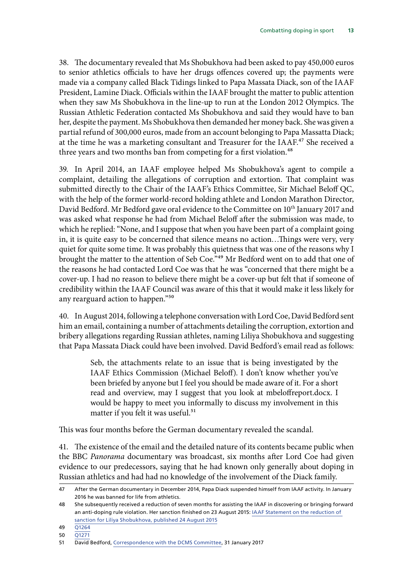38. The documentary revealed that Ms Shobukhova had been asked to pay 450,000 euros to senior athletics officials to have her drugs offences covered up; the payments were made via a company called Black Tidings linked to Papa Massata Diack, son of the IAAF President, Lamine Diack. Officials within the IAAF brought the matter to public attention when they saw Ms Shobukhova in the line-up to run at the London 2012 Olympics. The Russian Athletic Federation contacted Ms Shobukhova and said they would have to ban her, despite the payment. Ms Shobukhova then demanded her money back. She was given a partial refund of 300,000 euros, made from an account belonging to Papa Massatta Diack; at the time he was a marketing consultant and Treasurer for the IAAF.<sup>47</sup> She received a three years and two months ban from competing for a first violation.<sup>48</sup>

39. In April 2014, an IAAF employee helped Ms Shobukhova's agent to compile a complaint, detailing the allegations of corruption and extortion. That complaint was submitted directly to the Chair of the IAAF's Ethics Committee, Sir Michael Beloff QC, with the help of the former world-record holding athlete and London Marathon Director, David Bedford. Mr Bedford gave oral evidence to the Committee on 10<sup>th</sup> January 2017 and was asked what response he had from Michael Beloff after the submission was made, to which he replied: "None, and I suppose that when you have been part of a complaint going in, it is quite easy to be concerned that silence means no action…Things were very, very quiet for quite some time. It was probably this quietness that was one of the reasons why I brought the matter to the attention of Seb Coe."<sup>49</sup> Mr Bedford went on to add that one of the reasons he had contacted Lord Coe was that he was "concerned that there might be a cover-up. I had no reason to believe there might be a cover-up but felt that if someone of credibility within the IAAF Council was aware of this that it would make it less likely for any rearguard action to happen."50

40. In August 2014, following a telephone conversation with Lord Coe, David Bedford sent him an email, containing a number of attachments detailing the corruption, extortion and bribery allegations regarding Russian athletes, naming Liliya Shobukhova and suggesting that Papa Massata Diack could have been involved. David Bedford's email read as follows:

> Seb, the attachments relate to an issue that is being investigated by the IAAF Ethics Commission (Michael Beloff). I don't know whether you've been briefed by anyone but I feel you should be made aware of it. For a short read and overview, may I suggest that you look at mbeloffreport.docx. I would be happy to meet you informally to discuss my involvement in this matter if you felt it was useful.<sup>51</sup>

This was four months before the German documentary revealed the scandal.

41. The existence of the email and the detailed nature of its contents became public when the BBC *Panorama* documentary was broadcast, six months after Lord Coe had given evidence to our predecessors, saying that he had known only generally about doping in Russian athletics and had had no knowledge of the involvement of the Diack family.

<sup>47</sup> After the German documentary in December 2014, Papa Diack suspended himself from IAAF activity. In January 2016 he was banned for life from athletics.

<sup>48</sup> She subsequently received a reduction of seven months for assisting the IAAF in discovering or bringing forward an anti-doping rule violation. Her sanction finished on 23 August 2015: [IAAF Statement on the reduction of](http://www.iaaf.org/news/press-release/liliya-shobukhova-ban-reduction)  [sanction for Liliya Shobukhova, published 24 August 2015](http://www.iaaf.org/news/press-release/liliya-shobukhova-ban-reduction)

<sup>49</sup> [Q1264](http://data.parliament.uk/writtenevidence/committeeevidence.svc/evidencedocument/culture-media-and-sport-committee/combatting-doping-in-sport/oral/45156.pdf)

<sup>50</sup> [Q1271](http://data.parliament.uk/writtenevidence/committeeevidence.svc/evidencedocument/culture-media-and-sport-committee/combatting-doping-in-sport/oral/45156.pdf)

<sup>51</sup> David Bedford, [Correspondence with the DCMS Committee](http://www.parliament.uk/documents/commons-committees/culture-media-and-sport/Evidence/Michael-Bellof-Sebastian-Coe-emails-re-David-Bedford-allegations-August-2014.pdf), 31 January 2017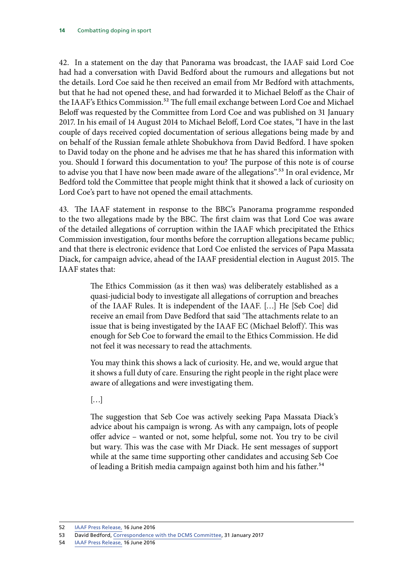42. In a statement on the day that Panorama was broadcast, the IAAF said Lord Coe had had a conversation with David Bedford about the rumours and allegations but not the details. Lord Coe said he then received an email from Mr Bedford with attachments, but that he had not opened these, and had forwarded it to Michael Beloff as the Chair of the IAAF's Ethics Commission.<sup>52</sup> The full email exchange between Lord Coe and Michael Beloff was requested by the Committee from Lord Coe and was published on 31 January 2017. In his email of 14 August 2014 to Michael Beloff, Lord Coe states, "I have in the last couple of days received copied documentation of serious allegations being made by and on behalf of the Russian female athlete Shobukhova from David Bedford. I have spoken to David today on the phone and he advises me that he has shared this information with you. Should I forward this documentation to you? The purpose of this note is of course to advise you that I have now been made aware of the allegations".<sup>53</sup> In oral evidence, Mr Bedford told the Committee that people might think that it showed a lack of curiosity on Lord Coe's part to have not opened the email attachments.

43. The IAAF statement in response to the BBC's Panorama programme responded to the two allegations made by the BBC. The first claim was that Lord Coe was aware of the detailed allegations of corruption within the IAAF which precipitated the Ethics Commission investigation, four months before the corruption allegations became public; and that there is electronic evidence that Lord Coe enlisted the services of Papa Massata Diack, for campaign advice, ahead of the IAAF presidential election in August 2015. The IAAF states that:

> The Ethics Commission (as it then was) was deliberately established as a quasi-judicial body to investigate all allegations of corruption and breaches of the IAAF Rules. It is independent of the IAAF. […] He [Seb Coe] did receive an email from Dave Bedford that said 'The attachments relate to an issue that is being investigated by the IAAF EC (Michael Beloff)'. This was enough for Seb Coe to forward the email to the Ethics Commission. He did not feel it was necessary to read the attachments.

> You may think this shows a lack of curiosity. He, and we, would argue that it shows a full duty of care. Ensuring the right people in the right place were aware of allegations and were investigating them.

 $[...]$ 

The suggestion that Seb Coe was actively seeking Papa Massata Diack's advice about his campaign is wrong. As with any campaign, lots of people offer advice – wanted or not, some helpful, some not. You try to be civil but wary. This was the case with Mr Diack. He sent messages of support while at the same time supporting other candidates and accusing Seb Coe of leading a British media campaign against both him and his father.<sup>54</sup>

54 [IAAF Press Release,](https://www.iaaf.org/news/press-release/panorama-bbc-statement-sebastian-coe) 16 June 2016

<sup>52</sup> [IAAF Press Release,](https://www.iaaf.org/news/press-release/panorama-bbc-statement-sebastian-coe) 16 June 2016

<sup>53</sup> David Bedford, [Correspondence with the DCMS Committee](http://www.parliament.uk/documents/commons-committees/culture-media-and-sport/Evidence/Michael-Bellof-Sebastian-Coe-emails-re-David-Bedford-allegations-August-2014.pdf), 31 January 2017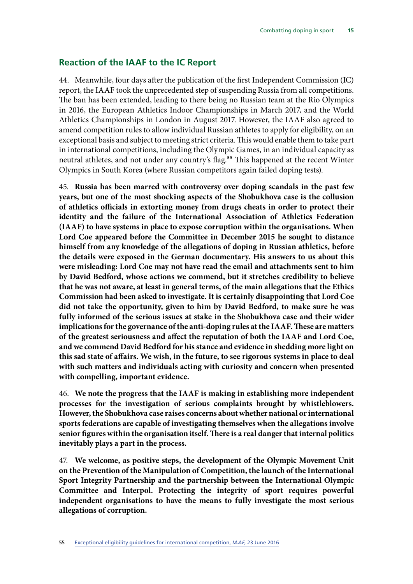#### <span id="page-16-0"></span>**Reaction of the IAAF to the IC Report**

44. Meanwhile, four days after the publication of the first Independent Commission (IC) report, the IAAF took the unprecedented step of suspending Russia from all competitions. The ban has been extended, leading to there being no Russian team at the Rio Olympics in 2016, the European Athletics Indoor Championships in March 2017, and the World Athletics Championships in London in August 2017. However, the IAAF also agreed to amend competition rules to allow individual Russian athletes to apply for eligibility, on an exceptional basis and subject to meeting strict criteria. This would enable them to take part in international competitions, including the Olympic Games, in an individual capacity as neutral athletes, and not under any country's flag.<sup>55</sup> This happened at the recent Winter Olympics in South Korea (where Russian competitors again failed doping tests).

45. **Russia has been marred with controversy over doping scandals in the past few years, but one of the most shocking aspects of the Shobukhova case is the collusion of athletics officials in extorting money from drugs cheats in order to protect their identity and the failure of the International Association of Athletics Federation (IAAF) to have systems in place to expose corruption within the organisations. When Lord Coe appeared before the Committee in December 2015 he sought to distance himself from any knowledge of the allegations of doping in Russian athletics, before the details were exposed in the German documentary. His answers to us about this were misleading: Lord Coe may not have read the email and attachments sent to him by David Bedford, whose actions we commend, but it stretches credibility to believe that he was not aware, at least in general terms, of the main allegations that the Ethics Commission had been asked to investigate. It is certainly disappointing that Lord Coe did not take the opportunity, given to him by David Bedford, to make sure he was fully informed of the serious issues at stake in the Shobukhova case and their wider implications for the governance of the anti-doping rules at the IAAF. These are matters of the greatest seriousness and affect the reputation of both the IAAF and Lord Coe, and we commend David Bedford for his stance and evidence in shedding more light on this sad state of affairs. We wish, in the future, to see rigorous systems in place to deal with such matters and individuals acting with curiosity and concern when presented with compelling, important evidence.**

46. **We note the progress that the IAAF is making in establishing more independent processes for the investigation of serious complaints brought by whistleblowers. However, the Shobukhova case raises concerns about whether national or international sports federations are capable of investigating themselves when the allegations involve senior figures within the organisation itself. There is a real danger that internal politics inevitably plays a part in the process.**

47. **We welcome, as positive steps, the development of the Olympic Movement Unit on the Prevention of the Manipulation of Competition, the launch of the International Sport Integrity Partnership and the partnership between the International Olympic Committee and Interpol. Protecting the integrity of sport requires powerful independent organisations to have the means to fully investigate the most serious allegations of corruption.**

55 [Exceptional eligibility guidelines for international competition,](http://www.iaaf.org/news/press-release/guidelines-russian-athletes-exceptional-eligi) *IAAF*, 23 June 2016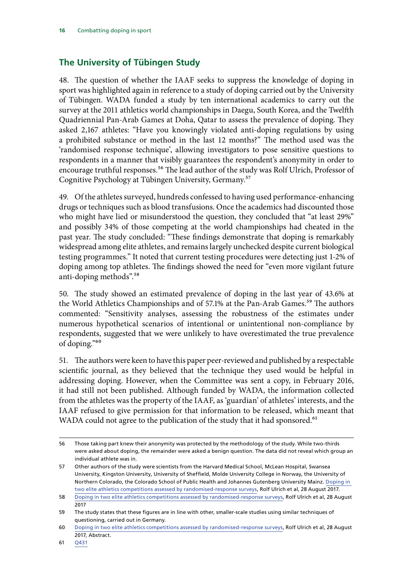### <span id="page-17-0"></span>**The University of Tübingen Study**

48. The question of whether the IAAF seeks to suppress the knowledge of doping in sport was highlighted again in reference to a study of doping carried out by the University of Tübingen. WADA funded a study by ten international academics to carry out the survey at the 2011 athletics world championships in Daegu, South Korea, and the Twelfth Quadriennial Pan-Arab Games at Doha, Qatar to assess the prevalence of doping. They asked 2,167 athletes: "Have you knowingly violated anti-doping regulations by using a prohibited substance or method in the last 12 months?" The method used was the 'randomised response technique', allowing investigators to pose sensitive questions to respondents in a manner that visibly guarantees the respondent's anonymity in order to encourage truthful responses.<sup>56</sup> The lead author of the study was Rolf Ulrich, Professor of Cognitive Psychology at Tübingen University, Germany.57

49. Of the athletes surveyed, hundreds confessed to having used performance-enhancing drugs or techniques such as blood transfusions. Once the academics had discounted those who might have lied or misunderstood the question, they concluded that "at least 29%" and possibly 34% of those competing at the world championships had cheated in the past year. The study concluded: "These findings demonstrate that doping is remarkably widespread among elite athletes, and remains largely unchecked despite current biological testing programmes." It noted that current testing procedures were detecting just 1-2% of doping among top athletes. The findings showed the need for "even more vigilant future anti-doping methods".58

50. The study showed an estimated prevalence of doping in the last year of 43.6% at the World Athletics Championships and of 57.1% at the Pan-Arab Games.<sup>59</sup> The authors commented: "Sensitivity analyses, assessing the robustness of the estimates under numerous hypothetical scenarios of intentional or unintentional non-compliance by respondents, suggested that we were unlikely to have overestimated the true prevalence of doping."60

51. The authors were keen to have this paper peer-reviewed and published by a respectable scientific journal, as they believed that the technique they used would be helpful in addressing doping. However, when the Committee was sent a copy, in February 2016, it had still not been published. Although funded by WADA, the information collected from the athletes was the property of the IAAF, as 'guardian' of athletes' interests, and the IAAF refused to give permission for that information to be released, which meant that WADA could not agree to the publication of the study that it had sponsored.<sup>61</sup>

<sup>56</sup> Those taking part knew their anonymity was protected by the methodology of the study. While two-thirds were asked about doping, the remainder were asked a benign question. The data did not reveal which group an individual athlete was in.

<sup>57</sup> Other authors of the study were scientists from the Harvard Medical School, McLean Hospital, Swansea University, Kingston University, University of Sheffield, Molde University College in Norway, the University of Northern Colorado, the Colorado School of Public Health and Johannes Gutenberg University Mainz. [Doping in](https://link.springer.com/article/10.1007/s40279-017-0765-4)  [two elite athletics competitions assessed by randomised-response surveys,](https://link.springer.com/article/10.1007/s40279-017-0765-4) Rolf Ulrich et al, 28 August 2017. 58 [Doping in two elite athletics competitions assessed by randomised-response surveys,](https://link.springer.com/article/10.1007/s40279-017-0765-4) Rolf Ulrich et al, 28 August

<sup>2017</sup>

<sup>59</sup> The study states that these figures are in line with other, smaller-scale studies using similar techniques of questioning, carried out in Germany.

<sup>60</sup> [Doping in two elite athletics competitions assessed by randomised-response surveys,](https://link.springer.com/article/10.1007/s40279-017-0765-4) Rolf Ulrich et al, 28 August 2017, Abstract.

<sup>61</sup> [Q431](http://data.parliament.uk/writtenevidence/committeeevidence.svc/evidencedocument/culture-media-and-sport-committee/blood-doping-in-athletics/oral/25643.html)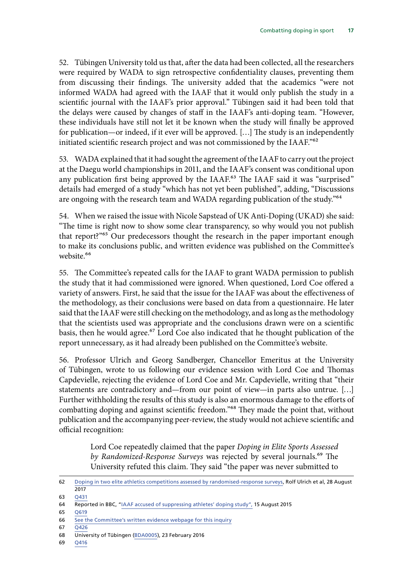52. Tübingen University told us that, after the data had been collected, all the researchers were required by WADA to sign retrospective confidentiality clauses, preventing them from discussing their findings. The university added that the academics "were not informed WADA had agreed with the IAAF that it would only publish the study in a scientific journal with the IAAF's prior approval." Tübingen said it had been told that the delays were caused by changes of staff in the IAAF's anti-doping team. "However, these individuals have still not let it be known when the study will finally be approved for publication—or indeed, if it ever will be approved. […] The study is an independently initiated scientific research project and was not commissioned by the IAAF."62

53. WADA explained that it had sought the agreement of the IAAF to carry out the project at the Daegu world championships in 2011, and the IAAF's consent was conditional upon any publication first being approved by the IAAF.<sup>63</sup> The IAAF said it was "surprised" details had emerged of a study "which has not yet been published", adding, "Discussions are ongoing with the research team and WADA regarding publication of the study."<sup>64</sup>

54. When we raised the issue with Nicole Sapstead of UK Anti-Doping (UKAD) she said: "The time is right now to show some clear transparency, so why would you not publish that report?"65 Our predecessors thought the research in the paper important enough to make its conclusions public, and written evidence was published on the Committee's website<sup>66</sup>

55. The Committee's repeated calls for the IAAF to grant WADA permission to publish the study that it had commissioned were ignored. When questioned, Lord Coe offered a variety of answers. First, he said that the issue for the IAAF was about the effectiveness of the methodology, as their conclusions were based on data from a questionnaire. He later said that the IAAF were still checking on the methodology, and as long as the methodology that the scientists used was appropriate and the conclusions drawn were on a scientific basis, then he would agree.<sup>67</sup> Lord Coe also indicated that he thought publication of the report unnecessary, as it had already been published on the Committee's website.

56. Professor Ulrich and Georg Sandberger, Chancellor Emeritus at the University of Tübingen, wrote to us following our evidence session with Lord Coe and Thomas Capdevielle, rejecting the evidence of Lord Coe and Mr. Capdevielle, writing that "their statements are contradictory and—from our point of view—in parts also untrue. […] Further withholding the results of this study is also an enormous damage to the efforts of combatting doping and against scientific freedom."68 They made the point that, without publication and the accompanying peer-review, the study would not achieve scientific and official recognition:

> Lord Coe repeatedly claimed that the paper *Doping in Elite Sports Assessed by Randomized-Response Surveys* was rejected by several journals.69 The University refuted this claim. They said "the paper was never submitted to

67 [Q426](http://data.parliament.uk/writtenevidence/committeeevidence.svc/evidencedocument/culture-media-and-sport-committee/blood-doping-in-athletics/oral/25643.html)

69 [Q416](http://data.parliament.uk/writtenevidence/committeeevidence.svc/evidencedocument/culture-media-and-sport-committee/blood-doping-in-athletics/oral/25643.html)

<sup>62</sup> [Doping in two elite athletics competitions assessed by randomised-response surveys,](https://link.springer.com/article/10.1007/s40279-017-0765-4) Rolf Ulrich et al, 28 August 2017

<sup>63</sup> [Q431](http://data.parliament.uk/writtenevidence/committeeevidence.svc/evidencedocument/culture-media-and-sport-committee/blood-doping-in-athletics/oral/25643.html)

<sup>64</sup> Reported in BBC, "[IAAF accused of suppressing athletes' doping study",](http://www.bbc.co.uk/sport/athletics/33948924) 15 August 2015

<sup>65</sup> [Q619](http://data.parliament.uk/writtenevidence/committeeevidence.svc/evidencedocument/culture-media-and-sport-committee/blood-doping-in-athletics/oral/28038.html)

<sup>66</sup> [See the Committee's written evidence webpage for this inquiry](http://www.parliament.uk/business/committees/committees-a-z/commons-select/culture-media-and-sport-committee/inquiries/parliament-2015/blood-doping-15-16/publications/)

<sup>68</sup> University of Tübingen ([BDA0005\)](http://data.parliament.uk/writtenevidence/committeeevidence.svc/evidencedocument/culture-media-and-sport-committee/blood-doping-in-athletics/written/28187.html), 23 February 2016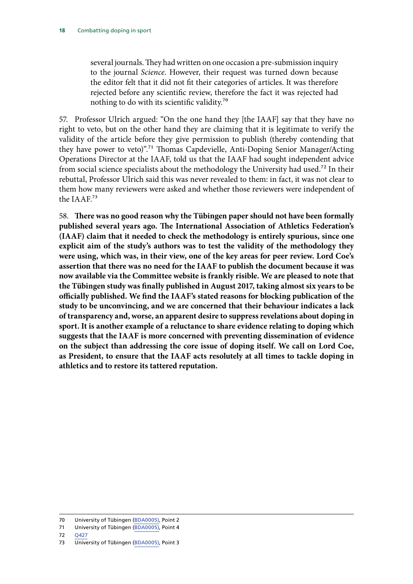several journals. They had written on one occasion a pre-submission inquiry to the journal *Science*. However, their request was turned down because the editor felt that it did not fit their categories of articles. It was therefore rejected before any scientific review, therefore the fact it was rejected had nothing to do with its scientific validity.70

57. Professor Ulrich argued: "On the one hand they [the IAAF] say that they have no right to veto, but on the other hand they are claiming that it is legitimate to verify the validity of the article before they give permission to publish (thereby contending that they have power to veto)".71 Thomas Capdevielle, Anti-Doping Senior Manager/Acting Operations Director at the IAAF, told us that the IAAF had sought independent advice from social science specialists about the methodology the University had used.<sup>72</sup> In their rebuttal, Professor Ulrich said this was never revealed to them: in fact, it was not clear to them how many reviewers were asked and whether those reviewers were independent of the IAAF.73

58. **There was no good reason why the Tübingen paper should not have been formally published several years ago. The International Association of Athletics Federation's (IAAF) claim that it needed to check the methodology is entirely spurious, since one explicit aim of the study's authors was to test the validity of the methodology they were using, which was, in their view, one of the key areas for peer review. Lord Coe's assertion that there was no need for the IAAF to publish the document because it was now available via the Committee website is frankly risible. We are pleased to note that the Tübingen study was finally published in August 2017, taking almost six years to be officially published. We find the IAAF's stated reasons for blocking publication of the study to be unconvincing, and we are concerned that their behaviour indicates a lack of transparency and, worse, an apparent desire to suppress revelations about doping in sport. It is another example of a reluctance to share evidence relating to doping which suggests that the IAAF is more concerned with preventing dissemination of evidence on the subject than addressing the core issue of doping itself. We call on Lord Coe, as President, to ensure that the IAAF acts resolutely at all times to tackle doping in athletics and to restore its tattered reputation.**

72 [Q427](http://data.parliament.uk/writtenevidence/committeeevidence.svc/evidencedocument/culture-media-and-sport-committee/blood-doping-in-athletics/oral/25643.html)

<sup>70</sup> University of Tübingen ([BDA0005\)](http://data.parliament.uk/writtenevidence/committeeevidence.svc/evidencedocument/culture-media-and-sport-committee/blood-doping-in-athletics/written/28187.html), Point 2

<sup>71</sup> University of Tübingen ([BDA0005\)](http://data.parliament.uk/writtenevidence/committeeevidence.svc/evidencedocument/culture-media-and-sport-committee/blood-doping-in-athletics/written/28187.html), Point 4

<sup>73</sup> University of Tübingen ([BDA0005\)](http://data.parliament.uk/writtenevidence/committeeevidence.svc/evidencedocument/culture-media-and-sport-committee/blood-doping-in-athletics/written/28187.html), Point 3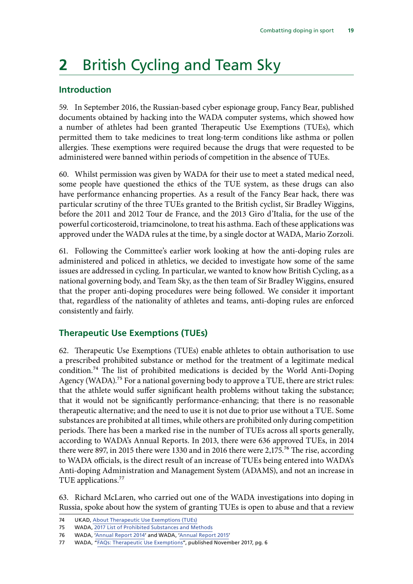## <span id="page-20-0"></span>**2** British Cycling and Team Sky

### **Introduction**

59. In September 2016, the Russian-based cyber espionage group, Fancy Bear, published documents obtained by hacking into the WADA computer systems, which showed how a number of athletes had been granted Therapeutic Use Exemptions (TUEs), which permitted them to take medicines to treat long-term conditions like asthma or pollen allergies. These exemptions were required because the drugs that were requested to be administered were banned within periods of competition in the absence of TUEs.

60. Whilst permission was given by WADA for their use to meet a stated medical need, some people have questioned the ethics of the TUE system, as these drugs can also have performance enhancing properties. As a result of the Fancy Bear hack, there was particular scrutiny of the three TUEs granted to the British cyclist, Sir Bradley Wiggins, before the 2011 and 2012 Tour de France, and the 2013 Giro d'Italia, for the use of the powerful corticosteroid, triamcinolone, to treat his asthma. Each of these applications was approved under the WADA rules at the time, by a single doctor at WADA, Mario Zorzoli.

61. Following the Committee's earlier work looking at how the anti-doping rules are administered and policed in athletics, we decided to investigate how some of the same issues are addressed in cycling. In particular, we wanted to know how British Cycling, as a national governing body, and Team Sky, as the then team of Sir Bradley Wiggins, ensured that the proper anti-doping procedures were being followed. We consider it important that, regardless of the nationality of athletes and teams, anti-doping rules are enforced consistently and fairly.

### **Therapeutic Use Exemptions (TUEs)**

62. Therapeutic Use Exemptions (TUEs) enable athletes to obtain authorisation to use a prescribed prohibited substance or method for the treatment of a legitimate medical condition.74 The list of prohibited medications is decided by the World Anti-Doping Agency (WADA).<sup>75</sup> For a national governing body to approve a TUE, there are strict rules: that the athlete would suffer significant health problems without taking the substance; that it would not be significantly performance-enhancing; that there is no reasonable therapeutic alternative; and the need to use it is not due to prior use without a TUE. Some substances are prohibited at all times, while others are prohibited only during competition periods. There has been a marked rise in the number of TUEs across all sports generally, according to WADA's Annual Reports. In 2013, there were 636 approved TUEs, in 2014 there were 897, in 2015 there were 1330 and in 2016 there were 2,175.<sup>76</sup> The rise, according to WADA officials, is the direct result of an increase of TUEs being entered into WADA's Anti-doping Administration and Management System (ADAMS), and not an increase in TUE applications.<sup>77</sup>

63. Richard McLaren, who carried out one of the WADA investigations into doping in Russia, spoke about how the system of granting TUEs is open to abuse and that a review

<sup>74</sup> UKAD, [About Therapeutic Use Exemptions \(TUEs\)](http://ukad.org.uk/medications-and-substances/about-TUE/)

<sup>75</sup> WADA, [2017 List of Prohibited Substances and Methods](https://www.wada-ama.org/en/prohibited-list)

<sup>76</sup> WADA, ['Annual Report 2014'](https://www.wada-ama.org/sites/default/files/wada-2014-annual-report-en-rev.pdf) and WADA, ['Annual Report 2015'](https://www.wada-ama.org/sites/default/files/resources/files/wad-020_annual_report_2015_vf_high_1006_final.pdf)

<sup>77</sup> WADA, ["FAQs: Therapeutic Use Exemptions"](https://www.wada-ama.org/sites/default/files/resources/files/2016-11-17-qa_tues_en_0.pdf), published November 2017, pg. 6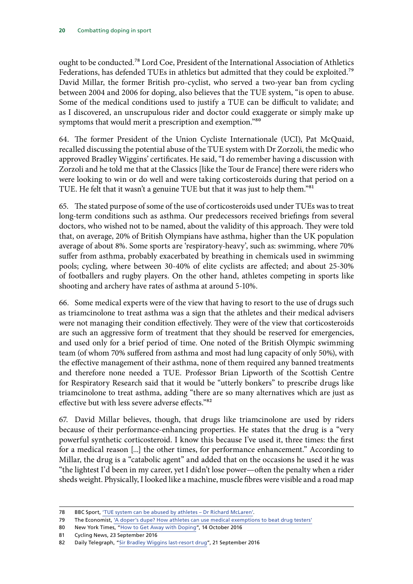ought to be conducted.78 Lord Coe, President of the International Association of Athletics Federations, has defended TUEs in athletics but admitted that they could be exploited.<sup>79</sup> David Millar, the former British pro-cyclist, who served a two-year ban from cycling between 2004 and 2006 for doping, also believes that the TUE system, "is open to abuse. Some of the medical conditions used to justify a TUE can be difficult to validate; and as I discovered, an unscrupulous rider and doctor could exaggerate or simply make up symptoms that would merit a prescription and exemption."80

64. The former President of the Union Cycliste Internationale (UCI), Pat McQuaid, recalled discussing the potential abuse of the TUE system with Dr Zorzoli, the medic who approved Bradley Wiggins' certificates. He said, "I do remember having a discussion with Zorzoli and he told me that at the Classics [like the Tour de France] there were riders who were looking to win or do well and were taking corticosteroids during that period on a TUE. He felt that it wasn't a genuine TUE but that it was just to help them."81

65. The stated purpose of some of the use of corticosteroids used under TUEs was to treat long-term conditions such as asthma. Our predecessors received briefings from several doctors, who wished not to be named, about the validity of this approach. They were told that, on average, 20% of British Olympians have asthma, higher than the UK population average of about 8%. Some sports are 'respiratory-heavy', such as: swimming, where 70% suffer from asthma, probably exacerbated by breathing in chemicals used in swimming pools; cycling, where between 30-40% of elite cyclists are affected; and about 25-30% of footballers and rugby players. On the other hand, athletes competing in sports like shooting and archery have rates of asthma at around 5-10%.

66. Some medical experts were of the view that having to resort to the use of drugs such as triamcinolone to treat asthma was a sign that the athletes and their medical advisers were not managing their condition effectively. They were of the view that corticosteroids are such an aggressive form of treatment that they should be reserved for emergencies, and used only for a brief period of time. One noted of the British Olympic swimming team (of whom 70% suffered from asthma and most had lung capacity of only 50%), with the effective management of their asthma, none of them required any banned treatments and therefore none needed a TUE. Professor Brian Lipworth of the Scottish Centre for Respiratory Research said that it would be "utterly bonkers" to prescribe drugs like triamcinolone to treat asthma, adding "there are so many alternatives which are just as effective but with less severe adverse effects."82

67. David Millar believes, though, that drugs like triamcinolone are used by riders because of their performance-enhancing properties. He states that the drug is a "very powerful synthetic corticosteroid. I know this because I've used it, three times: the first for a medical reason [...] the other times, for performance enhancement." According to Millar, the drug is a "catabolic agent" and added that on the occasions he used it he was "the lightest I'd been in my career, yet I didn't lose power—often the penalty when a rider sheds weight. Physically, I looked like a machine, muscle fibres were visible and a road map

<sup>78</sup> BBC Sport, ['TUE system can be abused by athletes – Dr Richard McLaren'.](http://www.bbc.co.uk/sport/37382825)

<sup>79</sup> The Economist, ['A doper's dupe? How athletes can use medical exemptions to beat drug testers'](http://www.economist.com/blogs/gametheory/2016/09/doper-s-dupe)

<sup>80</sup> New York Times, "[How to Get Away with Doping](https://www.nytimes.com/2016/10/16/opinion/sunday/how-to-get-away-with-doping.html)", 14 October 2016

<sup>81</sup> Cycling News, 23 September 2016

<sup>82</sup> Daily Telegraph, "[Sir Bradley Wiggins last-resort drug"](http://www.telegraph.co.uk/cycling/2016/09/20/sir-bradley-wigginss-last-resort-drug-was-utterly-bonkers-say-me/), 21 September 2016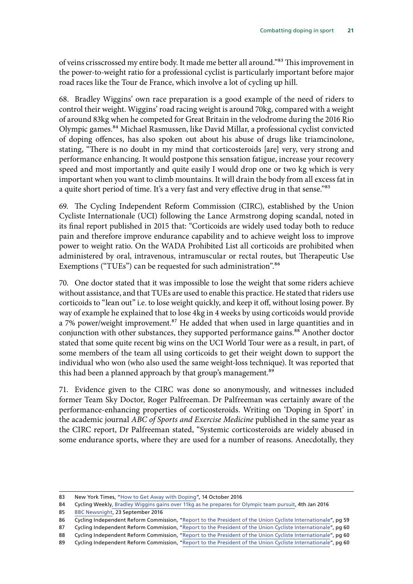of veins crisscrossed my entire body. It made me better all around."83 This improvement in the power-to-weight ratio for a professional cyclist is particularly important before major road races like the Tour de France, which involve a lot of cycling up hill.

68. Bradley Wiggins' own race preparation is a good example of the need of riders to control their weight. Wiggins' road racing weight is around 70kg, compared with a weight of around 83kg when he competed for Great Britain in the velodrome during the 2016 Rio Olympic games.84 Michael Rasmussen, like David Millar, a professional cyclist convicted of doping offences, has also spoken out about his abuse of drugs like triamcinolone, stating, "There is no doubt in my mind that corticosteroids [are] very, very strong and performance enhancing. It would postpone this sensation fatigue, increase your recovery speed and most importantly and quite easily I would drop one or two kg which is very important when you want to climb mountains. It will drain the body from all excess fat in a quite short period of time. It's a very fast and very effective drug in that sense."<sup>85</sup>

69. The Cycling Independent Reform Commission (CIRC), established by the Union Cycliste Internationale (UCI) following the Lance Armstrong doping scandal, noted in its final report published in 2015 that: "Corticoids are widely used today both to reduce pain and therefore improve endurance capability and to achieve weight loss to improve power to weight ratio. On the WADA Prohibited List all corticoids are prohibited when administered by oral, intravenous, intramuscular or rectal routes, but Therapeutic Use Exemptions ("TUEs") can be requested for such administration".<sup>86</sup>

70. One doctor stated that it was impossible to lose the weight that some riders achieve without assistance, and that TUEs are used to enable this practice. He stated that riders use corticoids to "lean out" i.e. to lose weight quickly, and keep it off, without losing power. By way of example he explained that to lose 4kg in 4 weeks by using corticoids would provide a 7% power/weight improvement.<sup>87</sup> He added that when used in large quantities and in conjunction with other substances, they supported performance gains.<sup>88</sup> Another doctor stated that some quite recent big wins on the UCI World Tour were as a result, in part, of some members of the team all using corticoids to get their weight down to support the individual who won (who also used the same weight-loss technique). It was reported that this had been a planned approach by that group's management.<sup>89</sup>

71. Evidence given to the CIRC was done so anonymously, and witnesses included former Team Sky Doctor, Roger Palfreeman. Dr Palfreeman was certainly aware of the performance-enhancing properties of corticosteroids. Writing on 'Doping in Sport' in the academic journal *ABC of Sports and Exercise Medicine* published in the same year as the CIRC report, Dr Palfreeman stated, "Systemic corticosteroids are widely abused in some endurance sports, where they are used for a number of reasons. Anecdotally, they

<sup>83</sup> New York Times, "[How to Get Away with Doping](https://www.nytimes.com/2016/10/16/opinion/sunday/how-to-get-away-with-doping.html)", 14 October 2016

<sup>84</sup> Cycling Weekl[y, Bradley Wiggins gains over 11kg as he prepares for Olympic team pursuit,](http://www.cyclingweekly.com/news/racing/olympics/bradley-wiggins-gains-over-11kg-as-he-prepares-for-olympic-team-pursuit-205328) 4th Jan 2016

<sup>85</sup> [BBC Newsnight](http://www.bbc.co.uk/programmes/b07wgh4v), 23 September 2016

<sup>86</sup> Cycling Independent Reform Commission, ["Report to the President of the Union Cycliste Internationale](http://www.uci.ch/mm/Document/News/CleanSport/16/87/99/CIRCReport2015_Neutral.pdf)", pg 59

<sup>87</sup> Cycling Independent Reform Commission, ["Report to the President of the Union Cycliste Internationale](http://www.uci.ch/mm/Document/News/CleanSport/16/87/99/CIRCReport2015_Neutral.pdf)", pg 60

<sup>88</sup> Cycling Independent Reform Commission, ["Report to the President of the Union Cycliste Internationale](http://www.uci.ch/mm/Document/News/CleanSport/16/87/99/CIRCReport2015_Neutral.pdf)", pg 60

<sup>89</sup> Cycling Independent Reform Commission, ["Report to the President of the Union Cycliste Internationale](http://www.uci.ch/mm/Document/News/CleanSport/16/87/99/CIRCReport2015_Neutral.pdf)", pg 60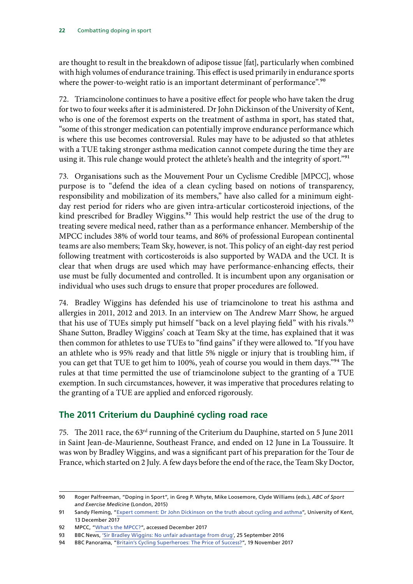<span id="page-23-0"></span>are thought to result in the breakdown of adipose tissue [fat], particularly when combined with high volumes of endurance training. This effect is used primarily in endurance sports where the power-to-weight ratio is an important determinant of performance".<sup>90</sup>

72. Triamcinolone continues to have a positive effect for people who have taken the drug for two to four weeks after it is administered. Dr John Dickinson of the University of Kent, who is one of the foremost experts on the treatment of asthma in sport, has stated that, "some of this stronger medication can potentially improve endurance performance which is where this use becomes controversial. Rules may have to be adjusted so that athletes with a TUE taking stronger asthma medication cannot compete during the time they are using it. This rule change would protect the athlete's health and the integrity of sport."<sup>91</sup>

73. Organisations such as the Mouvement Pour un Cyclisme Credible [MPCC], whose purpose is to "defend the idea of a clean cycling based on notions of transparency, responsibility and mobilization of its members," have also called for a minimum eightday rest period for riders who are given intra-articular corticosteroid injections, of the kind prescribed for Bradley Wiggins.<sup>92</sup> This would help restrict the use of the drug to treating severe medical need, rather than as a performance enhancer. Membership of the MPCC includes 38% of world tour teams, and 86% of professional European continental teams are also members; Team Sky, however, is not. This policy of an eight-day rest period following treatment with corticosteroids is also supported by WADA and the UCI. It is clear that when drugs are used which may have performance-enhancing effects, their use must be fully documented and controlled. It is incumbent upon any organisation or individual who uses such drugs to ensure that proper procedures are followed.

74. Bradley Wiggins has defended his use of triamcinolone to treat his asthma and allergies in 2011, 2012 and 2013. In an interview on The Andrew Marr Show, he argued that his use of TUEs simply put himself "back on a level playing field" with his rivals.<sup>93</sup> Shane Sutton, Bradley Wiggins' coach at Team Sky at the time, has explained that it was then common for athletes to use TUEs to "find gains" if they were allowed to. "If you have an athlete who is 95% ready and that little 5% niggle or injury that is troubling him, if you can get that TUE to get him to 100%, yeah of course you would in them days."94 The rules at that time permitted the use of triamcinolone subject to the granting of a TUE exemption. In such circumstances, however, it was imperative that procedures relating to the granting of a TUE are applied and enforced rigorously.

### **The 2011 Criterium du Dauphiné cycling road race**

75. The 2011 race, the 63rd running of the Criterium du Dauphine, started on 5 June 2011 in Saint Jean-de-Maurienne, Southeast France, and ended on 12 June in La Toussuire. It was won by Bradley Wiggins, and was a significant part of his preparation for the Tour de France, which started on 2 July. A few days before the end of the race, the Team Sky Doctor,

<sup>90</sup> Roger Palfreeman, "Doping in Sport", in Greg P. Whyte, Mike Loosemore, Clyde Williams (eds.), *ABC of Sport and Exercise Medicine* (London, 2015)

<sup>91</sup> Sandy Fleming, ["Expert comment: Dr John Dickinson on the truth about cycling and asthma](https://www.kent.ac.uk/news/science/12784/expert-comment-dr-john-dickinson-on-the-truth-about-cycling-and-asthma)", University of Kent, 13 December 2017

<sup>92</sup> MPCC, ["What's the MPCC?](https://www.mpcc.fr/index.php/en/mpcc-uk)", accessed December 2017

<sup>93</sup> BBC News, ['Sir Bradley Wiggins: No unfair advantage from drug'](http://www.bbc.co.uk/news/uk-37462540), 25 September 2016

<sup>94</sup> BBC Panorama, ["Britain's Cycling Superheroes: The Price of Success?](http://www.bbc.co.uk/programmes/b09glhsh)", 19 November 2017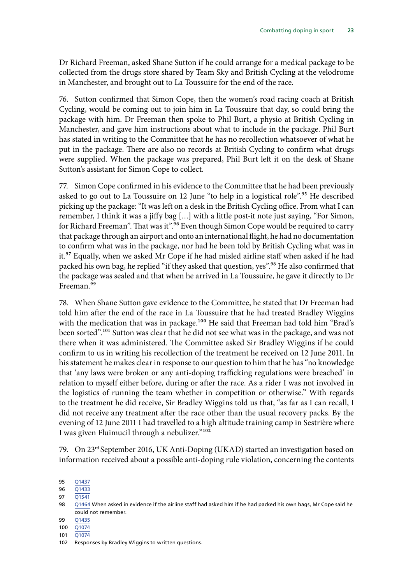Dr Richard Freeman, asked Shane Sutton if he could arrange for a medical package to be collected from the drugs store shared by Team Sky and British Cycling at the velodrome in Manchester, and brought out to La Toussuire for the end of the race.

76. Sutton confirmed that Simon Cope, then the women's road racing coach at British Cycling, would be coming out to join him in La Toussuire that day, so could bring the package with him. Dr Freeman then spoke to Phil Burt, a physio at British Cycling in Manchester, and gave him instructions about what to include in the package. Phil Burt has stated in writing to the Committee that he has no recollection whatsoever of what he put in the package. There are also no records at British Cycling to confirm what drugs were supplied. When the package was prepared, Phil Burt left it on the desk of Shane Sutton's assistant for Simon Cope to collect.

77. Simon Cope confirmed in his evidence to the Committee that he had been previously asked to go out to La Toussuire on 12 June "to help in a logistical role".<sup>95</sup> He described picking up the package: "It was left on a desk in the British Cycling office. From what I can remember, I think it was a jiffy bag […] with a little post-it note just saying, "For Simon, for Richard Freeman". That was it".<sup>96</sup> Even though Simon Cope would be required to carry that package through an airport and onto an international flight, he had no documentation to confirm what was in the package, nor had he been told by British Cycling what was in it.97 Equally, when we asked Mr Cope if he had misled airline staff when asked if he had packed his own bag, he replied "if they asked that question, yes".<sup>98</sup> He also confirmed that the package was sealed and that when he arrived in La Toussuire, he gave it directly to Dr Freeman.<sup>99</sup>

78. When Shane Sutton gave evidence to the Committee, he stated that Dr Freeman had told him after the end of the race in La Toussuire that he had treated Bradley Wiggins with the medication that was in package.<sup>100</sup> He said that Freeman had told him "Brad's been sorted".<sup>101</sup> Sutton was clear that he did not see what was in the package, and was not there when it was administered. The Committee asked Sir Bradley Wiggins if he could confirm to us in writing his recollection of the treatment he received on 12 June 2011. In his statement he makes clear in response to our question to him that he has "no knowledge that 'any laws were broken or any anti-doping trafficking regulations were breached' in relation to myself either before, during or after the race. As a rider I was not involved in the logistics of running the team whether in competition or otherwise." With regards to the treatment he did receive, Sir Bradley Wiggins told us that, "as far as I can recall, I did not receive any treatment after the race other than the usual recovery packs. By the evening of 12 June 2011 I had travelled to a high altitude training camp in Sestrière where I was given Fluimucil through a nebulizer."102

79. On 23rd September 2016, UK Anti-Doping (UKAD) started an investigation based on information received about a possible anti-doping rule violation, concerning the contents

97 01541

- 99 [Q1435](http://data.parliament.uk/writtenevidence/committeeevidence.svc/evidencedocument/culture-media-and-sport-committee/combatting-doping-in-sport/oral/48369.pdf)
- 100 [Q1074](http://data.parliament.uk/writtenevidence/committeeevidence.svc/evidencedocument/culture-media-and-sport-committee/combatting-doping-in-sport/oral/44749.pdf)
- 101 [Q1074](http://data.parliament.uk/writtenevidence/committeeevidence.svc/evidencedocument/culture-media-and-sport-committee/combatting-doping-in-sport/oral/44749.pdf)

<sup>95</sup> [Q1437](http://data.parliament.uk/writtenevidence/committeeevidence.svc/evidencedocument/culture-media-and-sport-committee/combatting-doping-in-sport/oral/48369.pdf)

<sup>96</sup> [Q1433](http://data.parliament.uk/writtenevidence/committeeevidence.svc/evidencedocument/culture-media-and-sport-committee/combatting-doping-in-sport/oral/48369.pdf)

<sup>98</sup>  $\sqrt{Q1464}$  $\sqrt{Q1464}$  $\sqrt{Q1464}$  When asked in evidence if the airline staff had asked him if he had packed his own bags, Mr Cope said he [could not remember.](http:// When asked in evidence if the airline staff had asked him if he had packed his own bags, Mr Cope sa)

<sup>102</sup> Responses by Bradley Wiggins to written questions.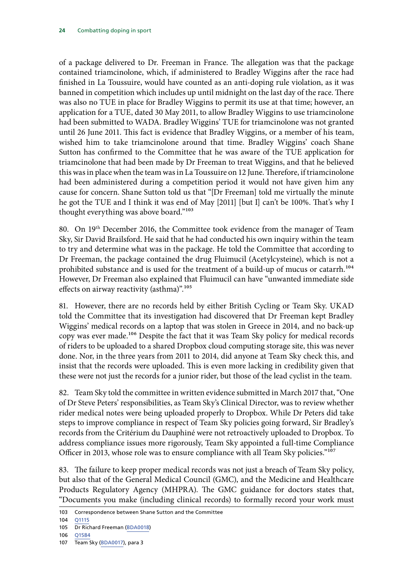of a package delivered to Dr. Freeman in France. The allegation was that the package contained triamcinolone, which, if administered to Bradley Wiggins after the race had finished in La Toussuire, would have counted as an anti-doping rule violation, as it was banned in competition which includes up until midnight on the last day of the race. There was also no TUE in place for Bradley Wiggins to permit its use at that time; however, an application for a TUE, dated 30 May 2011, to allow Bradley Wiggins to use triamcinolone had been submitted to WADA. Bradley Wiggins' TUE for triamcinolone was not granted until 26 June 2011. This fact is evidence that Bradley Wiggins, or a member of his team, wished him to take triamcinolone around that time. Bradley Wiggins' coach Shane Sutton has confirmed to the Committee that he was aware of the TUE application for triamcinolone that had been made by Dr Freeman to treat Wiggins, and that he believed this was in place when the team was in La Toussuire on 12 June. Therefore, if triamcinolone had been administered during a competition period it would not have given him any cause for concern. Shane Sutton told us that "[Dr Freeman] told me virtually the minute he got the TUE and I think it was end of May [2011] [but I] can't be 100%. That's why I thought everything was above board."103

80. On 19<sup>th</sup> December 2016, the Committee took evidence from the manager of Team Sky, Sir David Brailsford. He said that he had conducted his own inquiry within the team to try and determine what was in the package. He told the Committee that according to Dr Freeman, the package contained the drug Fluimucil (Acetylcysteine), which is not a prohibited substance and is used for the treatment of a build-up of mucus or catarrh.<sup>104</sup> However, Dr Freeman also explained that Fluimucil can have "unwanted immediate side effects on airway reactivity (asthma)".<sup>105</sup>

81. However, there are no records held by either British Cycling or Team Sky. UKAD told the Committee that its investigation had discovered that Dr Freeman kept Bradley Wiggins' medical records on a laptop that was stolen in Greece in 2014, and no back-up copy was ever made.<sup>106</sup> Despite the fact that it was Team Sky policy for medical records of riders to be uploaded to a shared Dropbox cloud computing storage site, this was never done. Nor, in the three years from 2011 to 2014, did anyone at Team Sky check this, and insist that the records were uploaded. This is even more lacking in credibility given that these were not just the records for a junior rider, but those of the lead cyclist in the team.

82. Team Sky told the committee in written evidence submitted in March 2017 that, "One of Dr Steve Peters' responsibilities, as Team Sky's Clinical Director, was to review whether rider medical notes were being uploaded properly to Dropbox. While Dr Peters did take steps to improve compliance in respect of Team Sky policies going forward, Sir Bradley's records from the Critérium du Dauphiné were not retroactively uploaded to Dropbox. To address compliance issues more rigorously, Team Sky appointed a full-time Compliance Officer in 2013, whose role was to ensure compliance with all Team Sky policies."<sup>107</sup>

83. The failure to keep proper medical records was not just a breach of Team Sky policy, but also that of the General Medical Council (GMC), and the Medicine and Healthcare Products Regulatory Agency (MHPRA). The GMC guidance for doctors states that, "Documents you make (including clinical records) to formally record your work must

<sup>103</sup> Correspondence between Shane Sutton and the Committee

<sup>104</sup> [Q1115](http://data.parliament.uk/writtenevidence/committeeevidence.svc/evidencedocument/culture-media-and-sport-committee/combatting-doping-in-sport/oral/44749.pdf)

<sup>105</sup> Dr Richard Freeman ([BDA0018](http://data.parliament.uk/writtenevidence/committeeevidence.svc/evidencedocument/culture-media-and-sport-committee/combatting-doping-in-sport/written/49391.pdf))

<sup>106</sup> [Q1584](http://data.parliament.uk/writtenevidence/committeeevidence.svc/evidencedocument/culture-media-and-sport-committee/combatting-doping-in-sport/oral/48369.pdf)

<sup>107</sup> Team Sky ([BDA0017\)](http://data.parliament.uk/writtenevidence/committeeevidence.svc/evidencedocument/culture-media-and-sport-committee/combatting-doping-in-sport/written/48780.pdf), para 3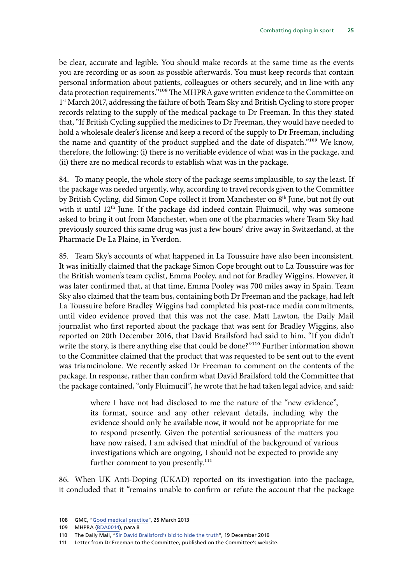be clear, accurate and legible. You should make records at the same time as the events you are recording or as soon as possible afterwards. You must keep records that contain personal information about patients, colleagues or others securely, and in line with any data protection requirements."<sup>108</sup> The MHPRA gave written evidence to the Committee on 1<sup>st</sup> March 2017, addressing the failure of both Team Sky and British Cycling to store proper records relating to the supply of the medical package to Dr Freeman. In this they stated that, "If British Cycling supplied the medicines to Dr Freeman, they would have needed to hold a wholesale dealer's license and keep a record of the supply to Dr Freeman, including the name and quantity of the product supplied and the date of dispatch."109 We know, therefore, the following: (i) there is no verifiable evidence of what was in the package, and (ii) there are no medical records to establish what was in the package.

84. To many people, the whole story of the package seems implausible, to say the least. If the package was needed urgently, why, according to travel records given to the Committee by British Cycling, did Simon Cope collect it from Manchester on 8<sup>th</sup> June, but not fly out with it until 12<sup>th</sup> June. If the package did indeed contain Fluimucil, why was someone asked to bring it out from Manchester, when one of the pharmacies where Team Sky had previously sourced this same drug was just a few hours' drive away in Switzerland, at the Pharmacie De La Plaine, in Yverdon.

85. Team Sky's accounts of what happened in La Toussuire have also been inconsistent. It was initially claimed that the package Simon Cope brought out to La Toussuire was for the British women's team cyclist, Emma Pooley, and not for Bradley Wiggins. However, it was later confirmed that, at that time, Emma Pooley was 700 miles away in Spain. Team Sky also claimed that the team bus, containing both Dr Freeman and the package, had left La Toussuire before Bradley Wiggins had completed his post-race media commitments, until video evidence proved that this was not the case. Matt Lawton, the Daily Mail journalist who first reported about the package that was sent for Bradley Wiggins, also reported on 20th December 2016, that David Brailsford had said to him, "If you didn't write the story, is there anything else that could be done?"<sup>110</sup> Further information shown to the Committee claimed that the product that was requested to be sent out to the event was triamcinolone. We recently asked Dr Freeman to comment on the contents of the package. In response, rather than confirm what David Brailsford told the Committee that the package contained, "only Fluimucil", he wrote that he had taken legal advice, and said:

> where I have not had disclosed to me the nature of the "new evidence", its format, source and any other relevant details, including why the evidence should only be available now, it would not be appropriate for me to respond presently. Given the potential seriousness of the matters you have now raised, I am advised that mindful of the background of various investigations which are ongoing, I should not be expected to provide any further comment to you presently.<sup>111</sup>

86. When UK Anti-Doping (UKAD) reported on its investigation into the package, it concluded that it "remains unable to confirm or refute the account that the package

<sup>108</sup> GMC, "[Good medical practice"](https://www.gmc-uk.org/Good_medical_practice___English_1215.pdf_51527435.pdf), 25 March 2013

<sup>109</sup> MHPRA ([BDA0014](http://data.parliament.uk/writtenevidence/committeeevidence.svc/evidencedocument/culture-media-and-sport-committee/combatting-doping-in-sport/written/48092.pdf)), para 8

<sup>110</sup> The Daily Mail, "[Sir David Brailsford's bid to hide the truth](http://www.dailymail.co.uk/sport/sportsnews/article-4049606/Sir-Dave-Brailsford-s-bid-hide-truth-grilling-MPs-reveal-desperate-attempt-kill-story-secret-meeting-Sportsmail.html)", 19 December 2016

<sup>111</sup> Letter from Dr Freeman to the Committee, published on the Committee's website.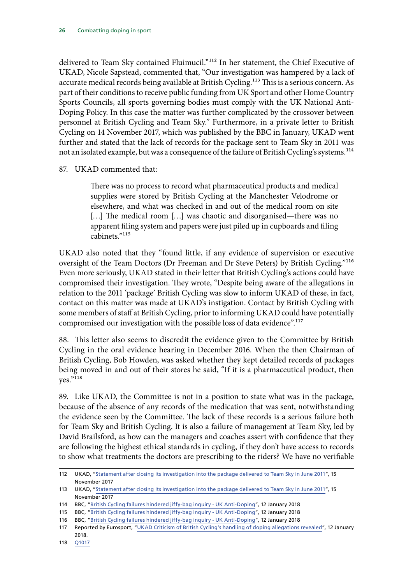delivered to Team Sky contained Fluimucil."<sup>112</sup> In her statement, the Chief Executive of UKAD, Nicole Sapstead, commented that, "Our investigation was hampered by a lack of accurate medical records being available at British Cycling.<sup>113</sup> This is a serious concern. As part of their conditions to receive public funding from UK Sport and other Home Country Sports Councils, all sports governing bodies must comply with the UK National Anti-Doping Policy. In this case the matter was further complicated by the crossover between personnel at British Cycling and Team Sky." Furthermore, in a private letter to British Cycling on 14 November 2017, which was published by the BBC in January, UKAD went further and stated that the lack of records for the package sent to Team Sky in 2011 was not an isolated example, but was a consequence of the failure of British Cycling's systems.<sup>114</sup>

#### 87. UKAD commented that:

There was no process to record what pharmaceutical products and medical supplies were stored by British Cycling at the Manchester Velodrome or elsewhere, and what was checked in and out of the medical room on site [...] The medical room [...] was chaotic and disorganised—there was no apparent filing system and papers were just piled up in cupboards and filing cabinets."115

UKAD also noted that they "found little, if any evidence of supervision or executive oversight of the Team Doctors (Dr Freeman and Dr Steve Peters) by British Cycling."116 Even more seriously, UKAD stated in their letter that British Cycling's actions could have compromised their investigation. They wrote, "Despite being aware of the allegations in relation to the 2011 'package' British Cycling was slow to inform UKAD of these, in fact, contact on this matter was made at UKAD's instigation. Contact by British Cycling with some members of staff at British Cycling, prior to informing UKAD could have potentially compromised our investigation with the possible loss of data evidence".<sup>117</sup>

88. This letter also seems to discredit the evidence given to the Committee by British Cycling in the oral evidence hearing in December 2016. When the then Chairman of British Cycling, Bob Howden, was asked whether they kept detailed records of packages being moved in and out of their stores he said, "If it is a pharmaceutical product, then yes."118

89. Like UKAD, the Committee is not in a position to state what was in the package, because of the absence of any records of the medication that was sent, notwithstanding the evidence seen by the Committee. The lack of these records is a serious failure both for Team Sky and British Cycling. It is also a failure of management at Team Sky, led by David Brailsford, as how can the managers and coaches assert with confidence that they are following the highest ethical standards in cycling, if they don't have access to records to show what treatments the doctors are prescribing to the riders? We have no verifiable

<sup>112</sup> UKAD, ["Statement after closing its investigation into the package delivered to Team Sky in June 2011"](https://www.ukad.org.uk/news/article/ukad-statement-after-closing-investigation-into-the-package-delivered-to-te/), 15 November 2017

<sup>113</sup> UKAD, ["Statement after closing its investigation into the package delivered to Team Sky in June 2011"](https://www.ukad.org.uk/news/article/ukad-statement-after-closing-investigation-into-the-package-delivered-to-te/), 15 November 2017

<sup>114</sup> BBC, ["British Cycling failures hindered jiffy-bag inquiry - UK Anti-Doping](http://www.bbc.co.uk/sport/cycling/42668551)", 12 January 2018

<sup>115</sup> BBC, ["British Cycling failures hindered jiffy-bag inquiry - UK Anti-Doping](http://www.bbc.co.uk/sport/cycling/42668551)", 12 January 2018

<sup>116</sup> BBC, ["British Cycling failures hindered jiffy-bag inquiry - UK Anti-Doping](http://www.bbc.co.uk/sport/cycling/42668551)", 12 January 2018

<sup>117</sup> Reported by Eurosport, "[UKAD Criticism of British Cycling's handling of doping allegations revealed](https://www.eurosport.com/cycling/ukad-criticism-of-british-cycling-s-handling-of-doping-allegations-revealed_sto6473487/story.shtml)", 12 January 2018.

<sup>118</sup> [Q1017](http://data.parliament.uk/writtenevidence/committeeevidence.svc/evidencedocument/culture-media-and-sport-committee/combatting-doping-in-sport/oral/44749.pdf)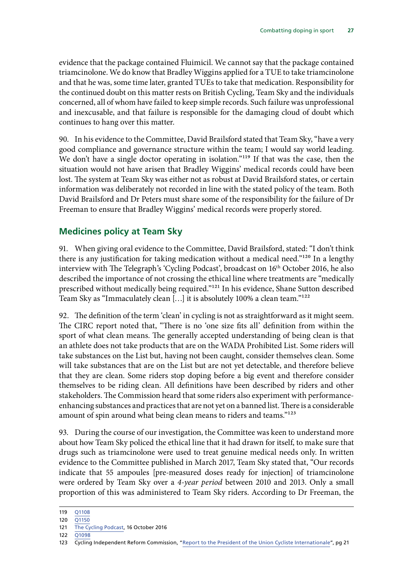<span id="page-28-0"></span>evidence that the package contained Fluimicil. We cannot say that the package contained triamcinolone. We do know that Bradley Wiggins applied for a TUE to take triamcinolone and that he was, some time later, granted TUEs to take that medication. Responsibility for the continued doubt on this matter rests on British Cycling, Team Sky and the individuals concerned, all of whom have failed to keep simple records. Such failure was unprofessional and inexcusable, and that failure is responsible for the damaging cloud of doubt which continues to hang over this matter.

90. In his evidence to the Committee, David Brailsford stated that Team Sky, "have a very good compliance and governance structure within the team; I would say world leading. We don't have a single doctor operating in isolation."<sup>119</sup> If that was the case, then the situation would not have arisen that Bradley Wiggins' medical records could have been lost. The system at Team Sky was either not as robust at David Brailsford states, or certain information was deliberately not recorded in line with the stated policy of the team. Both David Brailsford and Dr Peters must share some of the responsibility for the failure of Dr Freeman to ensure that Bradley Wiggins' medical records were properly stored.

### **Medicines policy at Team Sky**

91. When giving oral evidence to the Committee, David Brailsford, stated: "I don't think there is any justification for taking medication without a medical need."<sup>120</sup> In a lengthy interview with The Telegraph's 'Cycling Podcast', broadcast on 16<sup>th</sup> October 2016, he also described the importance of not crossing the ethical line where treatments are "medically prescribed without medically being required."121 In his evidence, Shane Sutton described Team Sky as "Immaculately clean […] it is absolutely 100% a clean team."122

92. The definition of the term 'clean' in cycling is not as straightforward as it might seem. The CIRC report noted that, "There is no 'one size fits all' definition from within the sport of what clean means. The generally accepted understanding of being clean is that an athlete does not take products that are on the WADA Prohibited List. Some riders will take substances on the List but, having not been caught, consider themselves clean. Some will take substances that are on the List but are not yet detectable, and therefore believe that they are clean. Some riders stop doping before a big event and therefore consider themselves to be riding clean. All definitions have been described by riders and other stakeholders. The Commission heard that some riders also experiment with performanceenhancing substances and practices that are not yet on a banned list. There is a considerable amount of spin around what being clean means to riders and teams."123

93. During the course of our investigation, the Committee was keen to understand more about how Team Sky policed the ethical line that it had drawn for itself, to make sure that drugs such as triamcinolone were used to treat genuine medical needs only. In written evidence to the Committee published in March 2017, Team Sky stated that, "Our records indicate that 55 ampoules [pre-measured doses ready for injection] of triamcinolone were ordered by Team Sky over a *4-year period* between 2010 and 2013. Only a small proportion of this was administered to Team Sky riders. According to Dr Freeman, the

<sup>119</sup> [Q1108](http://data.parliament.uk/writtenevidence/committeeevidence.svc/evidencedocument/culture-media-and-sport-committee/combatting-doping-in-sport/oral/44749.pdf)

<sup>120</sup> [Q1150](http://data.parliament.uk/writtenevidence/committeeevidence.svc/evidencedocument/culture-media-and-sport-committee/combatting-doping-in-sport/oral/44749.pdf)

<sup>121</sup> [The Cycling Podcast](https://thecyclingpodcast.com/podcast/dave-brailsford-speaks-to-the-cycling-podcast), 16 October 2016

<sup>122</sup> [Q1098](http://data.parliament.uk/writtenevidence/committeeevidence.svc/evidencedocument/culture-media-and-sport-committee/combatting-doping-in-sport/oral/44749.pdf)

<sup>123</sup> Cycling Independent Reform Commission, ["Report to the President of the Union Cycliste Internationale](http://www.uci.ch/mm/Document/News/CleanSport/16/87/99/CIRCReport2015_Neutral.pdf)", pg 21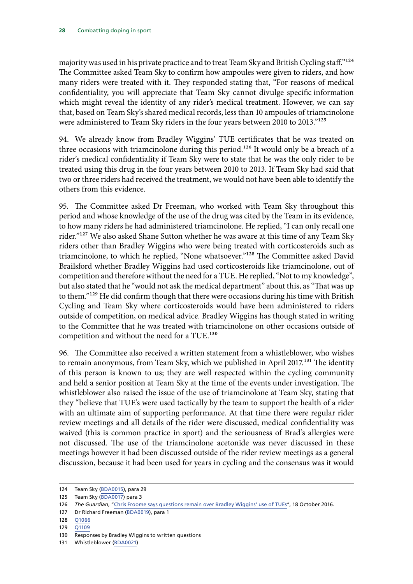majority was used in his private practice and to treat Team Sky and British Cycling staff."<sup>124</sup> The Committee asked Team Sky to confirm how ampoules were given to riders, and how many riders were treated with it. They responded stating that, "For reasons of medical confidentiality, you will appreciate that Team Sky cannot divulge specific information which might reveal the identity of any rider's medical treatment. However, we can say that, based on Team Sky's shared medical records, less than 10 ampoules of triamcinolone were administered to Team Sky riders in the four years between 2010 to 2013."<sup>125</sup>

94. We already know from Bradley Wiggins' TUE certificates that he was treated on three occasions with triamcinolone during this period.<sup>126</sup> It would only be a breach of a rider's medical confidentiality if Team Sky were to state that he was the only rider to be treated using this drug in the four years between 2010 to 2013. If Team Sky had said that two or three riders had received the treatment, we would not have been able to identify the others from this evidence.

95. The Committee asked Dr Freeman, who worked with Team Sky throughout this period and whose knowledge of the use of the drug was cited by the Team in its evidence, to how many riders he had administered triamcinolone. He replied, "I can only recall one rider."<sup>127</sup> We also asked Shane Sutton whether he was aware at this time of any Team Sky riders other than Bradley Wiggins who were being treated with corticosteroids such as triamcinolone, to which he replied, "None whatsoever."128 The Committee asked David Brailsford whether Bradley Wiggins had used corticosteroids like triamcinolone, out of competition and therefore without the need for a TUE. He replied, "Not to my knowledge", but also stated that he "would not ask the medical department" about this, as "That was up to them."<sup>129</sup> He did confirm though that there were occasions during his time with British Cycling and Team Sky where corticosteroids would have been administered to riders outside of competition, on medical advice. Bradley Wiggins has though stated in writing to the Committee that he was treated with triamcinolone on other occasions outside of competition and without the need for a TUE.<sup>130</sup>

96. The Committee also received a written statement from a whistleblower, who wishes to remain anonymous, from Team Sky, which we published in April 2017.<sup>131</sup> The identity of this person is known to us; they are well respected within the cycling community and held a senior position at Team Sky at the time of the events under investigation. The whistleblower also raised the issue of the use of triamcinolone at Team Sky, stating that they "believe that TUE's were used tactically by the team to support the health of a rider with an ultimate aim of supporting performance. At that time there were regular rider review meetings and all details of the rider were discussed, medical confidentiality was waived (this is common practice in sport) and the seriousness of Brad's allergies were not discussed. The use of the triamcinolone acetonide was never discussed in these meetings however it had been discussed outside of the rider review meetings as a general discussion, because it had been used for years in cycling and the consensus was it would

<sup>124</sup> Team Sky ([BDA0015\)](http://data.parliament.uk/writtenevidence/committeeevidence.svc/evidencedocument/culture-media-and-sport-committee/combatting-doping-in-sport/written/48767.pdf), para 29

<sup>125</sup> Team Sky ([BDA0017\)](http://data.parliament.uk/writtenevidence/committeeevidence.svc/evidencedocument/culture-media-and-sport-committee/combatting-doping-in-sport/written/48780.pdf) para 3

<sup>126</sup> *The Guardian*, ["Chris Froome says questions remain over Bradley Wiggins' use of TUEs"](https://www.theguardian.com/sport/2016/oct/18/chris-froome-questions-remain-bradley-wiggins-tues-use-cycling), 18 October 2016.

<sup>127</sup> Dr Richard Freeman ([BDA0019](http://data.parliament.uk/writtenevidence/committeeevidence.svc/evidencedocument/culture-media-and-sport-committee/combatting-doping-in-sport/written/49495.pdf)), para 1

<sup>128</sup> [Q1066](http://data.parliament.uk/writtenevidence/committeeevidence.svc/evidencedocument/culture-media-and-sport-committee/combatting-doping-in-sport/oral/44749.pdf)

<sup>129</sup> [Q1109](http://data.parliament.uk/writtenevidence/committeeevidence.svc/evidencedocument/culture-media-and-sport-committee/combatting-doping-in-sport/oral/44749.pdf)

<sup>130</sup> Responses by Bradley Wiggins to written questions

<sup>131</sup> Whistleblower ([BDA0021\)](http://data.parliament.uk/writtenevidence/committeeevidence.svc/evidencedocument/culture-media-and-sport-committee/combatting-doping-in-sport/written/69004.pdf)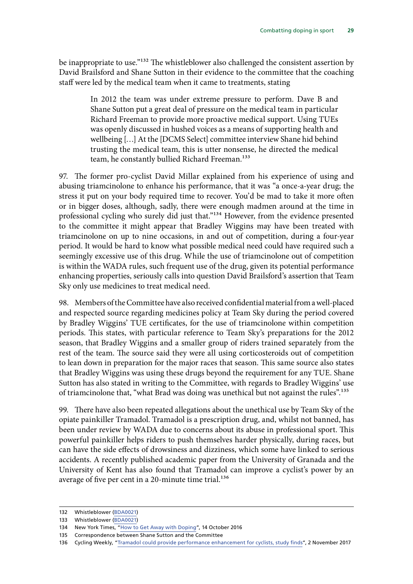be inappropriate to use."<sup>132</sup> The whistleblower also challenged the consistent assertion by David Brailsford and Shane Sutton in their evidence to the committee that the coaching staff were led by the medical team when it came to treatments, stating

> In 2012 the team was under extreme pressure to perform. Dave B and Shane Sutton put a great deal of pressure on the medical team in particular Richard Freeman to provide more proactive medical support. Using TUEs was openly discussed in hushed voices as a means of supporting health and wellbeing […] At the [DCMS Select] committee interview Shane hid behind trusting the medical team, this is utter nonsense, he directed the medical team, he constantly bullied Richard Freeman.<sup>133</sup>

97. The former pro-cyclist David Millar explained from his experience of using and abusing triamcinolone to enhance his performance, that it was "a once-a-year drug; the stress it put on your body required time to recover. You'd be mad to take it more often or in bigger doses, although, sadly, there were enough madmen around at the time in professional cycling who surely did just that."134 However, from the evidence presented to the committee it might appear that Bradley Wiggins may have been treated with triamcinolone on up to nine occasions, in and out of competition, during a four-year period. It would be hard to know what possible medical need could have required such a seemingly excessive use of this drug. While the use of triamcinolone out of competition is within the WADA rules, such frequent use of the drug, given its potential performance enhancing properties, seriously calls into question David Brailsford's assertion that Team Sky only use medicines to treat medical need.

98. Members of the Committee have also received confidential material from a well-placed and respected source regarding medicines policy at Team Sky during the period covered by Bradley Wiggins' TUE certificates, for the use of triamcinolone within competition periods. This states, with particular reference to Team Sky's preparations for the 2012 season, that Bradley Wiggins and a smaller group of riders trained separately from the rest of the team. The source said they were all using corticosteroids out of competition to lean down in preparation for the major races that season. This same source also states that Bradley Wiggins was using these drugs beyond the requirement for any TUE. Shane Sutton has also stated in writing to the Committee, with regards to Bradley Wiggins' use of triamcinolone that, "what Brad was doing was unethical but not against the rules".<sup>135</sup>

99. There have also been repeated allegations about the unethical use by Team Sky of the opiate painkiller Tramadol. Tramadol is a prescription drug, and, whilst not banned, has been under review by WADA due to concerns about its abuse in professional sport. This powerful painkiller helps riders to push themselves harder physically, during races, but can have the side effects of drowsiness and dizziness, which some have linked to serious accidents. A recently published academic paper from the University of Granada and the University of Kent has also found that Tramadol can improve a cyclist's power by an average of five per cent in a 20-minute time trial.<sup>136</sup>

<sup>132</sup> Whistleblower ([BDA0021\)](http://data.parliament.uk/writtenevidence/committeeevidence.svc/evidencedocument/culture-media-and-sport-committee/combatting-doping-in-sport/written/69004.pdf)

<sup>133</sup> Whistleblower ([BDA0021\)](http://data.parliament.uk/writtenevidence/committeeevidence.svc/evidencedocument/culture-media-and-sport-committee/combatting-doping-in-sport/written/69004.pdf)

<sup>134</sup> New York Times, "[How to Get Away with Doping](https://www.nytimes.com/2016/10/16/opinion/sunday/how-to-get-away-with-doping.html)", 14 October 2016

<sup>135</sup> Correspondence between Shane Sutton and the Committee

<sup>136</sup> Cycling Weekly, "[Tramadol could provide performance enhancement for cyclists, study finds](http://www.cyclingweekly.com/news/tramadol-found-enhance-cycling-performance-study-finds-357365)", 2 November 2017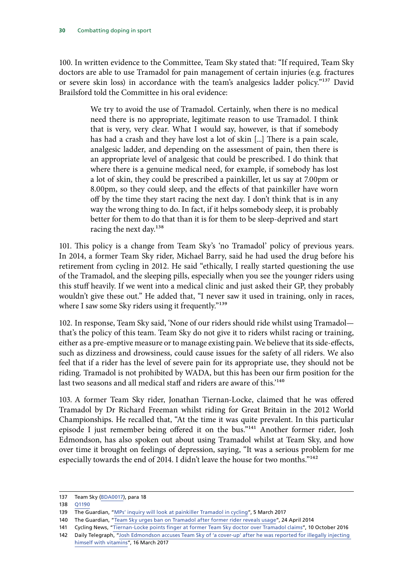100. In written evidence to the Committee, Team Sky stated that: "If required, Team Sky doctors are able to use Tramadol for pain management of certain injuries (e.g. fractures or severe skin loss) in accordance with the team's analgesics ladder policy."137 David Brailsford told the Committee in his oral evidence:

> We try to avoid the use of Tramadol. Certainly, when there is no medical need there is no appropriate, legitimate reason to use Tramadol. I think that is very, very clear. What I would say, however, is that if somebody has had a crash and they have lost a lot of skin [...] There is a pain scale, analgesic ladder, and depending on the assessment of pain, then there is an appropriate level of analgesic that could be prescribed. I do think that where there is a genuine medical need, for example, if somebody has lost a lot of skin, they could be prescribed a painkiller, let us say at 7.00pm or 8.00pm, so they could sleep, and the effects of that painkiller have worn off by the time they start racing the next day. I don't think that is in any way the wrong thing to do. In fact, if it helps somebody sleep, it is probably better for them to do that than it is for them to be sleep-deprived and start racing the next day.<sup>138</sup>

101. This policy is a change from Team Sky's 'no Tramadol' policy of previous years. In 2014, a former Team Sky rider, Michael Barry, said he had used the drug before his retirement from cycling in 2012. He said "ethically, I really started questioning the use of the Tramadol, and the sleeping pills, especially when you see the younger riders using this stuff heavily. If we went into a medical clinic and just asked their GP, they probably wouldn't give these out." He added that, "I never saw it used in training, only in races, where I saw some Sky riders using it frequently."<sup>139</sup>

102. In response, Team Sky said, 'None of our riders should ride whilst using Tramadol that's the policy of this team. Team Sky do not give it to riders whilst racing or training, either as a pre-emptive measure or to manage existing pain. We believe that its side-effects, such as dizziness and drowsiness, could cause issues for the safety of all riders. We also feel that if a rider has the level of severe pain for its appropriate use, they should not be riding. Tramadol is not prohibited by WADA, but this has been our firm position for the last two seasons and all medical staff and riders are aware of this.<sup>'140</sup>

103. A former Team Sky rider, Jonathan Tiernan-Locke, claimed that he was offered Tramadol by Dr Richard Freeman whilst riding for Great Britain in the 2012 World Championships. He recalled that, "At the time it was quite prevalent. In this particular episode I just remember being offered it on the bus."141 Another former rider, Josh Edmondson, has also spoken out about using Tramadol whilst at Team Sky, and how over time it brought on feelings of depression, saying, "It was a serious problem for me especially towards the end of 2014. I didn't leave the house for two months."<sup>142</sup>

<sup>137</sup> Team Sky ([BDA0017\)](http://data.parliament.uk/writtenevidence/committeeevidence.svc/evidencedocument/culture-media-and-sport-committee/combatting-doping-in-sport/written/48780.pdf), para 18

<sup>138</sup> [Q1190](http://data.parliament.uk/writtenevidence/committeeevidence.svc/evidencedocument/culture-media-and-sport-committee/combatting-doping-in-sport/oral/44749.pdf)

<sup>139</sup> The Guardian, "[MPs' inquiry will look at painkiller Tramadol in cycling](https://www.theguardian.com/sport/2017/mar/05/cycling-drug-inquiry-will-switch-focus-to-painkiller-tramadol)", 5 March 2017

<sup>140</sup> The Guardian, "[Team Sky urges ban on Tramadol after former rider reveals usage](https://www.theguardian.com/sport/2014/apr/28/team-sky-urges-ban-tramadol)", 24 April 2014

<sup>141</sup> Cycling News, "[Tiernan-Locke points finger at former Team Sky doctor over Tramadol claims](http://www.cyclingnews.com/news/tiernan-locke-points-finger-at-former-team-sky-doctor-over-tramadol-claims/)", 10 October 2016

<sup>142</sup> Daily Telegraph, "[Josh Edmondson accuses Team Sky of 'a cover-up' after he was reported for illegally injecting](https://www.telegraph.co.uk/cycling/2017/03/16/josh-edmondson-accuses-team-sky-cover-up-reported-illegally/)  [himself with vitamins"](https://www.telegraph.co.uk/cycling/2017/03/16/josh-edmondson-accuses-team-sky-cover-up-reported-illegally/), 16 March 2017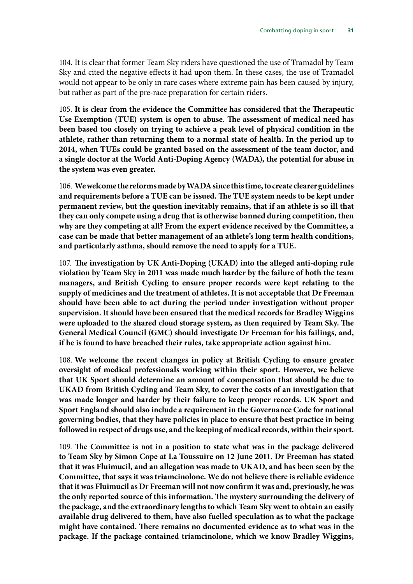104. It is clear that former Team Sky riders have questioned the use of Tramadol by Team Sky and cited the negative effects it had upon them. In these cases, the use of Tramadol would not appear to be only in rare cases where extreme pain has been caused by injury, but rather as part of the pre-race preparation for certain riders.

105. **It is clear from the evidence the Committee has considered that the Therapeutic Use Exemption (TUE) system is open to abuse. The assessment of medical need has been based too closely on trying to achieve a peak level of physical condition in the athlete, rather than returning them to a normal state of health. In the period up to 2014, when TUEs could be granted based on the assessment of the team doctor, and a single doctor at the World Anti-Doping Agency (WADA), the potential for abuse in the system was even greater.**

106. **We welcome the reforms made by WADA since this time, to create clearer guidelines and requirements before a TUE can be issued. The TUE system needs to be kept under permanent review, but the question inevitably remains, that if an athlete is so ill that they can only compete using a drug that is otherwise banned during competition, then why are they competing at all? From the expert evidence received by the Committee, a case can be made that better management of an athlete's long term health conditions, and particularly asthma, should remove the need to apply for a TUE.**

107. **The investigation by UK Anti-Doping (UKAD) into the alleged anti-doping rule violation by Team Sky in 2011 was made much harder by the failure of both the team managers, and British Cycling to ensure proper records were kept relating to the supply of medicines and the treatment of athletes. It is not acceptable that Dr Freeman should have been able to act during the period under investigation without proper supervision. It should have been ensured that the medical records for Bradley Wiggins were uploaded to the shared cloud storage system, as then required by Team Sky. The General Medical Council (GMC) should investigate Dr Freeman for his failings, and, if he is found to have breached their rules, take appropriate action against him.**

108. **We welcome the recent changes in policy at British Cycling to ensure greater oversight of medical professionals working within their sport. However, we believe that UK Sport should determine an amount of compensation that should be due to UKAD from British Cycling and Team Sky, to cover the costs of an investigation that was made longer and harder by their failure to keep proper records. UK Sport and Sport England should also include a requirement in the Governance Code for national governing bodies, that they have policies in place to ensure that best practice in being followed in respect of drugs use, and the keeping of medical records, within their sport.**

109. **The Committee is not in a position to state what was in the package delivered to Team Sky by Simon Cope at La Toussuire on 12 June 2011. Dr Freeman has stated that it was Fluimucil, and an allegation was made to UKAD, and has been seen by the Committee, that says it was triamcinolone. We do not believe there is reliable evidence that it was Fluimucil as Dr Freeman will not now confirm it was and, previously, he was the only reported source of this information. The mystery surrounding the delivery of the package, and the extraordinary lengths to which Team Sky went to obtain an easily available drug delivered to them, have also fuelled speculation as to what the package might have contained. There remains no documented evidence as to what was in the package. If the package contained triamcinolone, which we know Bradley Wiggins,**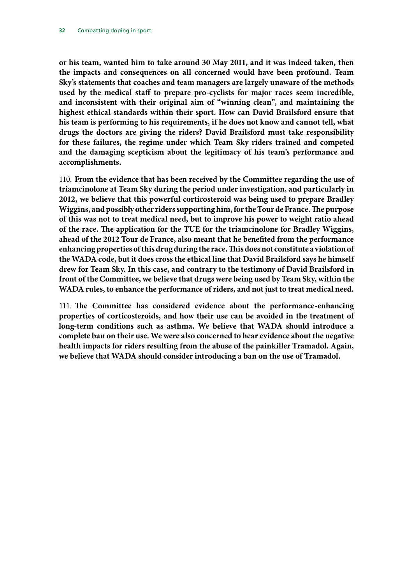**or his team, wanted him to take around 30 May 2011, and it was indeed taken, then the impacts and consequences on all concerned would have been profound. Team Sky's statements that coaches and team managers are largely unaware of the methods used by the medical staff to prepare pro-cyclists for major races seem incredible, and inconsistent with their original aim of "winning clean", and maintaining the highest ethical standards within their sport. How can David Brailsford ensure that his team is performing to his requirements, if he does not know and cannot tell, what drugs the doctors are giving the riders? David Brailsford must take responsibility for these failures, the regime under which Team Sky riders trained and competed and the damaging scepticism about the legitimacy of his team's performance and accomplishments.**

110. **From the evidence that has been received by the Committee regarding the use of triamcinolone at Team Sky during the period under investigation, and particularly in 2012, we believe that this powerful corticosteroid was being used to prepare Bradley Wiggins, and possibly other riders supporting him, for the Tour de France. The purpose of this was not to treat medical need, but to improve his power to weight ratio ahead of the race. The application for the TUE for the triamcinolone for Bradley Wiggins, ahead of the 2012 Tour de France, also meant that he benefited from the performance enhancing properties of this drug during the race. This does not constitute a violation of the WADA code, but it does cross the ethical line that David Brailsford says he himself drew for Team Sky. In this case, and contrary to the testimony of David Brailsford in front of the Committee, we believe that drugs were being used by Team Sky, within the WADA rules, to enhance the performance of riders, and not just to treat medical need.**

111. **The Committee has considered evidence about the performance-enhancing properties of corticosteroids, and how their use can be avoided in the treatment of long-term conditions such as asthma. We believe that WADA should introduce a complete ban on their use. We were also concerned to hear evidence about the negative health impacts for riders resulting from the abuse of the painkiller Tramadol. Again, we believe that WADA should consider introducing a ban on the use of Tramadol.**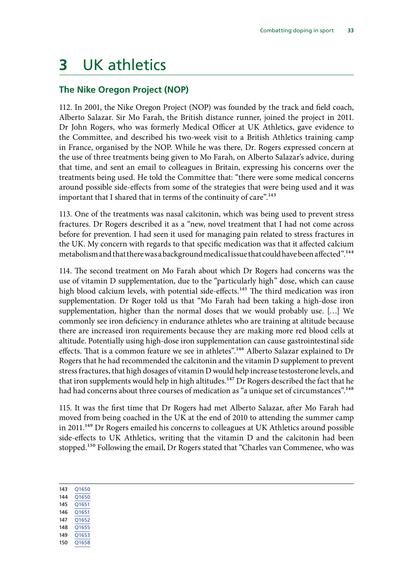## <span id="page-34-0"></span>**3** UK athletics

### **The Nike Oregon Project (NOP)**

112. In 2001, the Nike Oregon Project (NOP) was founded by the track and field coach, Alberto Salazar. Sir Mo Farah, the British distance runner, joined the project in 2011. Dr John Rogers, who was formerly Medical Officer at UK Athletics, gave evidence to the Committee, and described his two-week visit to a British Athletics training camp in France, organised by the NOP. While he was there, Dr. Rogers expressed concern at the use of three treatments being given to Mo Farah, on Alberto Salazar's advice, during that time, and sent an email to colleagues in Britain, expressing his concerns over the treatments being used. He told the Committee that: "there were some medical concerns around possible side-effects from some of the strategies that were being used and it was important that I shared that in terms of the continuity of care".<sup>143</sup>

113. One of the treatments was nasal calcitonin, which was being used to prevent stress fractures. Dr Rogers described it as a "new, novel treatment that I had not come across before for prevention. I had seen it used for managing pain related to stress fractures in the UK. My concern with regards to that specific medication was that it affected calcium metabolism and that there was a background medical issue that could have been affected".<sup>144</sup>

114. The second treatment on Mo Farah about which Dr Rogers had concerns was the use of vitamin D supplementation, due to the "particularly high" dose, which can cause high blood calcium levels, with potential side-effects.<sup>145</sup> The third medication was iron supplementation. Dr Roger told us that "Mo Farah had been taking a high-dose iron supplementation, higher than the normal doses that we would probably use. […] We commonly see iron deficiency in endurance athletes who are training at altitude because there are increased iron requirements because they are making more red blood cells at altitude. Potentially using high-dose iron supplementation can cause gastrointestinal side effects. That is a common feature we see in athletes".<sup>146</sup> Alberto Salazar explained to Dr Rogers that he had recommended the calcitonin and the vitamin D supplement to prevent stress fractures, that high dosages of vitamin D would help increase testosterone levels, and that iron supplements would help in high altitudes.<sup>147</sup> Dr Rogers described the fact that he had had concerns about three courses of medication as "a unique set of circumstances".<sup>148</sup>

115. It was the first time that Dr Rogers had met Alberto Salazar, after Mo Farah had moved from being coached in the UK at the end of 2010 to attending the summer camp in 2011.<sup>149</sup> Dr Rogers emailed his concerns to colleagues at UK Athletics around possible side-effects to UK Athletics, writing that the vitamin D and the calcitonin had been stopped.150 Following the email, Dr Rogers stated that "Charles van Commenee, who was

143 [Q1650](http://data.parliament.uk/writtenevidence/committeeevidence.svc/evidencedocument/culture-media-and-sport-committee/combatting-doping-in-sport/oral/69218.pdf)

- 144 [Q1650](http://data.parliament.uk/writtenevidence/committeeevidence.svc/evidencedocument/culture-media-and-sport-committee/combatting-doping-in-sport/oral/69218.pdf) 145 [Q1651](http://data.parliament.uk/writtenevidence/committeeevidence.svc/evidencedocument/culture-media-and-sport-committee/combatting-doping-in-sport/oral/69218.pdf)
- 146 [Q1651](http://data.parliament.uk/writtenevidence/committeeevidence.svc/evidencedocument/culture-media-and-sport-committee/combatting-doping-in-sport/oral/69218.pdf)
- 147 [Q1652](http://data.parliament.uk/writtenevidence/committeeevidence.svc/evidencedocument/culture-media-and-sport-committee/combatting-doping-in-sport/oral/69218.pdf)
- 148 [Q1655](http://data.parliament.uk/writtenevidence/committeeevidence.svc/evidencedocument/culture-media-and-sport-committee/combatting-doping-in-sport/oral/69218.pdf)
- 149 [Q1653](http://data.parliament.uk/writtenevidence/committeeevidence.svc/evidencedocument/culture-media-and-sport-committee/combatting-doping-in-sport/oral/69218.pdf)
- 150 [Q1658](http://data.parliament.uk/writtenevidence/committeeevidence.svc/evidencedocument/culture-media-and-sport-committee/combatting-doping-in-sport/oral/69218.pdf)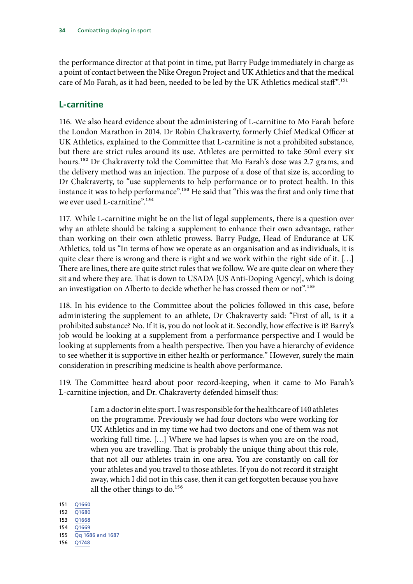<span id="page-35-0"></span>the performance director at that point in time, put Barry Fudge immediately in charge as a point of contact between the Nike Oregon Project and UK Athletics and that the medical care of Mo Farah, as it had been, needed to be led by the UK Athletics medical staff".151

### **L-carnitine**

116. We also heard evidence about the administering of L-carnitine to Mo Farah before the London Marathon in 2014. Dr Robin Chakraverty, formerly Chief Medical Officer at UK Athletics, explained to the Committee that L-carnitine is not a prohibited substance, but there are strict rules around its use. Athletes are permitted to take 50ml every six hours.<sup>152</sup> Dr Chakraverty told the Committee that Mo Farah's dose was 2.7 grams, and the delivery method was an injection. The purpose of a dose of that size is, according to Dr Chakraverty, to "use supplements to help performance or to protect health. In this instance it was to help performance".<sup>153</sup> He said that "this was the first and only time that we ever used L-carnitine".154

117. While L-carnitine might be on the list of legal supplements, there is a question over why an athlete should be taking a supplement to enhance their own advantage, rather than working on their own athletic prowess. Barry Fudge, Head of Endurance at UK Athletics, told us "In terms of how we operate as an organisation and as individuals, it is quite clear there is wrong and there is right and we work within the right side of it. […] There are lines, there are quite strict rules that we follow. We are quite clear on where they sit and where they are. That is down to USADA [US Anti-Doping Agency], which is doing an investigation on Alberto to decide whether he has crossed them or not".155

118. In his evidence to the Committee about the policies followed in this case, before administering the supplement to an athlete, Dr Chakraverty said: "First of all, is it a prohibited substance? No. If it is, you do not look at it. Secondly, how effective is it? Barry's job would be looking at a supplement from a performance perspective and I would be looking at supplements from a health perspective. Then you have a hierarchy of evidence to see whether it is supportive in either health or performance." However, surely the main consideration in prescribing medicine is health above performance.

119. The Committee heard about poor record-keeping, when it came to Mo Farah's L-carnitine injection, and Dr. Chakraverty defended himself thus:

> I am a doctor in elite sport. I was responsible for the healthcare of 140 athletes on the programme. Previously we had four doctors who were working for UK Athletics and in my time we had two doctors and one of them was not working full time. […] Where we had lapses is when you are on the road, when you are travelling. That is probably the unique thing about this role, that not all our athletes train in one area. You are constantly on call for your athletes and you travel to those athletes. If you do not record it straight away, which I did not in this case, then it can get forgotten because you have all the other things to do.156

156 [Q1748](http://data.parliament.uk/writtenevidence/committeeevidence.svc/evidencedocument/culture-media-and-sport-committee/combatting-doping-in-sport/oral/69218.pdf)

<sup>151</sup> [Q1660](http://data.parliament.uk/writtenevidence/committeeevidence.svc/evidencedocument/culture-media-and-sport-committee/combatting-doping-in-sport/oral/69218.pdf)

<sup>152</sup> [Q1680](http://data.parliament.uk/writtenevidence/committeeevidence.svc/evidencedocument/culture-media-and-sport-committee/combatting-doping-in-sport/oral/69218.pdf)

<sup>153</sup> [Q1668](http://data.parliament.uk/writtenevidence/committeeevidence.svc/evidencedocument/culture-media-and-sport-committee/combatting-doping-in-sport/oral/69218.pdf)

<sup>154</sup> [Q1669](http://data.parliament.uk/writtenevidence/committeeevidence.svc/evidencedocument/culture-media-and-sport-committee/combatting-doping-in-sport/oral/69218.pdf)

<sup>155</sup> [Qq 1686 and 1687](http://data.parliament.uk/writtenevidence/committeeevidence.svc/evidencedocument/culture-media-and-sport-committee/combatting-doping-in-sport/oral/69218.pdf)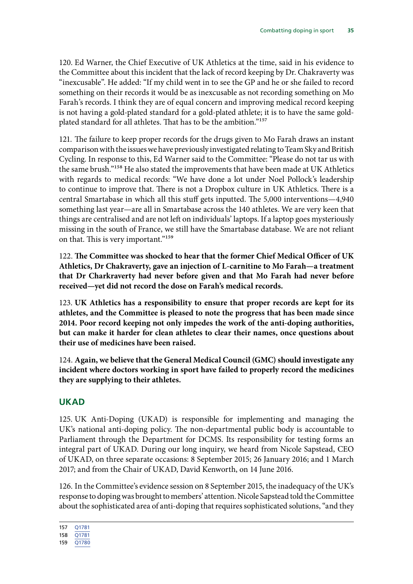<span id="page-36-0"></span>120. Ed Warner, the Chief Executive of UK Athletics at the time, said in his evidence to the Committee about this incident that the lack of record keeping by Dr. Chakraverty was "inexcusable". He added: "If my child went in to see the GP and he or she failed to record something on their records it would be as inexcusable as not recording something on Mo Farah's records. I think they are of equal concern and improving medical record keeping is not having a gold-plated standard for a gold-plated athlete; it is to have the same goldplated standard for all athletes. That has to be the ambition."157

121. The failure to keep proper records for the drugs given to Mo Farah draws an instant comparison with the issues we have previously investigated relating to Team Sky and British Cycling. In response to this, Ed Warner said to the Committee: "Please do not tar us with the same brush."158 He also stated the improvements that have been made at UK Athletics with regards to medical records: "We have done a lot under Noel Pollock's leadership to continue to improve that. There is not a Dropbox culture in UK Athletics. There is a central Smartabase in which all this stuff gets inputted. The 5,000 interventions—4,940 something last year—are all in Smartabase across the 140 athletes. We are very keen that things are centralised and are not left on individuals' laptops. If a laptop goes mysteriously missing in the south of France, we still have the Smartabase database. We are not reliant on that. This is very important."159

122. **The Committee was shocked to hear that the former Chief Medical Officer of UK Athletics, Dr Chakraverty, gave an injection of L-carnitine to Mo Farah—a treatment that Dr Charkraverty had never before given and that Mo Farah had never before received—yet did not record the dose on Farah's medical records.**

123. **UK Athletics has a responsibility to ensure that proper records are kept for its athletes, and the Committee is pleased to note the progress that has been made since 2014. Poor record keeping not only impedes the work of the anti-doping authorities, but can make it harder for clean athletes to clear their names, once questions about their use of medicines have been raised.**

124. **Again, we believe that the General Medical Council (GMC) should investigate any incident where doctors working in sport have failed to properly record the medicines they are supplying to their athletes.**

#### **UKAD**

125. UK Anti-Doping (UKAD) is responsible for implementing and managing the UK's national anti-doping policy. The non-departmental public body is accountable to Parliament through the Department for DCMS. Its responsibility for testing forms an integral part of UKAD. During our long inquiry, we heard from Nicole Sapstead, CEO of UKAD, on three separate occasions: 8 September 2015; 26 January 2016; and 1 March 2017; and from the Chair of UKAD, David Kenworth, on 14 June 2016.

126. In the Committee's evidence session on 8 September 2015, the inadequacy of the UK's response to doping was brought to members' attention. Nicole Sapstead told the Committee about the sophisticated area of anti-doping that requires sophisticated solutions, "and they

<sup>157</sup> [Q1781](http://data.parliament.uk/writtenevidence/committeeevidence.svc/evidencedocument/culture-media-and-sport-committee/combatting-doping-in-sport/oral/69218.pdf)

<sup>158</sup> [Q1781](http://data.parliament.uk/writtenevidence/committeeevidence.svc/evidencedocument/culture-media-and-sport-committee/combatting-doping-in-sport/oral/69218.pdf)

<sup>159</sup> [Q1780](http://data.parliament.uk/writtenevidence/committeeevidence.svc/evidencedocument/culture-media-and-sport-committee/combatting-doping-in-sport/oral/69218.pdf)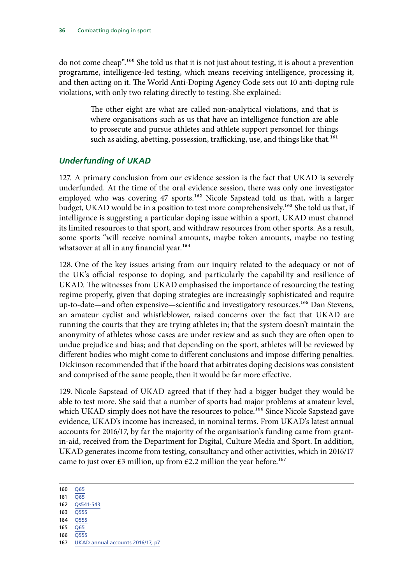<span id="page-37-0"></span>do not come cheap".160 She told us that it is not just about testing, it is about a prevention programme, intelligence-led testing, which means receiving intelligence, processing it, and then acting on it. The World Anti-Doping Agency Code sets out 10 anti-doping rule violations, with only two relating directly to testing. She explained:

> The other eight are what are called non-analytical violations, and that is where organisations such as us that have an intelligence function are able to prosecute and pursue athletes and athlete support personnel for things such as aiding, abetting, possession, trafficking, use, and things like that.<sup>161</sup>

#### *Underfunding of UKAD*

127. A primary conclusion from our evidence session is the fact that UKAD is severely underfunded. At the time of the oral evidence session, there was only one investigator employed who was covering 47 sports.<sup>162</sup> Nicole Sapstead told us that, with a larger budget, UKAD would be in a position to test more comprehensively.<sup>163</sup> She told us that, if intelligence is suggesting a particular doping issue within a sport, UKAD must channel its limited resources to that sport, and withdraw resources from other sports. As a result, some sports "will receive nominal amounts, maybe token amounts, maybe no testing whatsover at all in any financial year.<sup>164</sup>

128. One of the key issues arising from our inquiry related to the adequacy or not of the UK's official response to doping, and particularly the capability and resilience of UKAD. The witnesses from UKAD emphasised the importance of resourcing the testing regime properly, given that doping strategies are increasingly sophisticated and require up-to-date—and often expensive—scientific and investigatory resources.<sup>165</sup> Dan Stevens, an amateur cyclist and whistleblower, raised concerns over the fact that UKAD are running the courts that they are trying athletes in; that the system doesn't maintain the anonymity of athletes whose cases are under review and as such they are often open to undue prejudice and bias; and that depending on the sport, athletes will be reviewed by different bodies who might come to different conclusions and impose differing penalties. Dickinson recommended that if the board that arbitrates doping decisions was consistent and comprised of the same people, then it would be far more effective.

129. Nicole Sapstead of UKAD agreed that if they had a bigger budget they would be able to test more. She said that a number of sports had major problems at amateur level, which UKAD simply does not have the resources to police.<sup>166</sup> Since Nicole Sapstead gave evidence, UKAD's income has increased, in nominal terms. From UKAD's latest annual accounts for 2016/17, by far the majority of the organisation's funding came from grantin-aid, received from the Department for Digital, Culture Media and Sport. In addition, UKAD generates income from testing, consultancy and other activities, which in 2016/17 came to just over £3 million, up from £2.2 million the year before.<sup>167</sup>

- 164 [Q555](http://data.parliament.uk/writtenevidence/committeeevidence.svc/evidencedocument/culture-media-and-sport-committee/combatting-doping-in-sport/oral/28038.pdf)
- 165 [Q65](http://data.parliament.uk/writtenevidence/committeeevidence.svc/evidencedocument/culture-media-and-sport-committee/blood-doping-in-athletics/oral/21309.html)
- 166 [Q555](http://data.parliament.uk/writtenevidence/committeeevidence.svc/evidencedocument/culture-media-and-sport-committee/blood-doping-in-athletics/oral/28038.html)

<sup>160</sup> [Q65](http://data.parliament.uk/writtenevidence/committeeevidence.svc/evidencedocument/culture-media-and-sport-committee/combatting-doping-in-sport/oral/21309.pdf)

<sup>161</sup> [Q65](http://data.parliament.uk/writtenevidence/committeeevidence.svc/evidencedocument/culture-media-and-sport-committee/combatting-doping-in-sport/oral/21309.pdf)

<sup>162</sup> [Qs541-543](http://data.parliament.uk/writtenevidence/committeeevidence.svc/evidencedocument/culture-media-and-sport-committee/combatting-doping-in-sport/oral/28038.pdf) 163 [Q555](http://data.parliament.uk/writtenevidence/committeeevidence.svc/evidencedocument/culture-media-and-sport-committee/combatting-doping-in-sport/oral/28038.pdf)

<sup>167</sup> [UKAD annual accounts 2016/17, p7](https://www.ukad.org.uk/resources/document/annual-report-and-accounts-2016-17)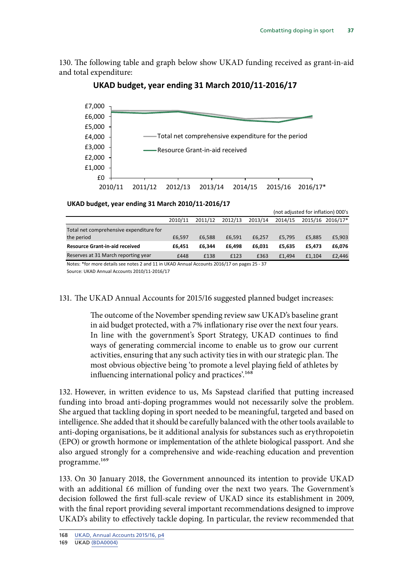130. The following table and graph below show UKAD funding received as grant-in-aid and total expenditure:



#### **UKAD budget, year ending 31 March 2010/11-2016/17**

#### **UKAD budget, year ending 31 March 2010/11-2016/17**

|                                                      |         |         |         |         | (not adjusted for inflation) 000's |        |                  |
|------------------------------------------------------|---------|---------|---------|---------|------------------------------------|--------|------------------|
|                                                      | 2010/11 | 2011/12 | 2012/13 | 2013/14 | 2014/15                            |        | 2015/16 2016/17* |
| Total net comprehensive expenditure for              |         |         |         |         |                                    |        |                  |
| the period                                           | £6.597  | £6.588  | £6.591  | £6.257  | £5.795                             | £5,885 | £5,903           |
| <b>Resource Grant-in-aid received</b>                | £6.451  | £6.344  | £6.498  | £6.031  | £5.635                             | £5.473 | £6,076           |
| Reserves at 31 March reporting year                  | £448    | £138    | £123    | £363    | £1.494                             | £1.104 | £2,446           |
| $\mathbf{a}$<br>.<br>.<br>.<br>$\cdots$<br>--<br>$-$ |         |         |         |         |                                    |        |                  |

Notes: \*for more details see notes 2 and 11 in UKAD Annual Accounts 2016/17 on pages 25 - 37

Source: UKAD Annual Accounts 2010/11-2016/17

131. The UKAD Annual Accounts for 2015/16 suggested planned budget increases:

The outcome of the November spending review saw UKAD's baseline grant in aid budget protected, with a 7% inflationary rise over the next four years. In line with the government's Sport Strategy, UKAD continues to find ways of generating commercial income to enable us to grow our current activities, ensuring that any such activity ties in with our strategic plan. The most obvious objective being 'to promote a level playing field of athletes by influencing international policy and practices'.<sup>168</sup>

132. However, in written evidence to us, Ms Sapstead clarified that putting increased funding into broad anti-doping programmes would not necessarily solve the problem. She argued that tackling doping in sport needed to be meaningful, targeted and based on intelligence. She added that it should be carefully balanced with the other tools available to anti-doping organisations, be it additional analysis for substances such as erythropoietin (EPO) or growth hormone or implementation of the athlete biological passport. And she also argued strongly for a comprehensive and wide-reaching education and prevention programme.<sup>169</sup>

133. On 30 January 2018, the Government announced its intention to provide UKAD with an additional £6 million of funding over the next two years. The Government's decision followed the first full-scale review of UKAD since its establishment in 2009, with the final report providing several important recommendations designed to improve UKAD's ability to effectively tackle doping. In particular, the review recommended that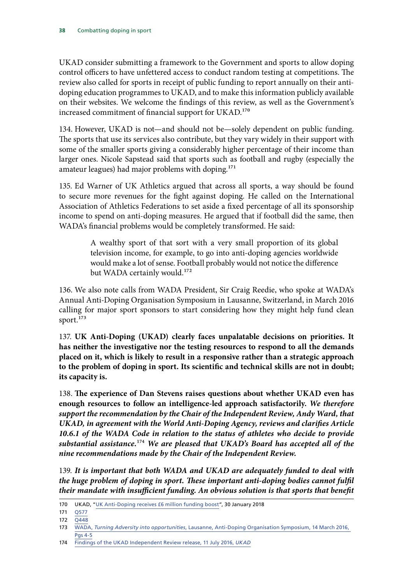UKAD consider submitting a framework to the Government and sports to allow doping control officers to have unfettered access to conduct random testing at competitions. The review also called for sports in receipt of public funding to report annually on their antidoping education programmes to UKAD, and to make this information publicly available on their websites. We welcome the findings of this review, as well as the Government's increased commitment of financial support for UKAD.<sup>170</sup>

134. However, UKAD is not—and should not be—solely dependent on public funding. The sports that use its services also contribute, but they vary widely in their support with some of the smaller sports giving a considerably higher percentage of their income than larger ones. Nicole Sapstead said that sports such as football and rugby (especially the amateur leagues) had major problems with doping.<sup>171</sup>

135. Ed Warner of UK Athletics argued that across all sports, a way should be found to secure more revenues for the fight against doping. He called on the International Association of Athletics Federations to set aside a fixed percentage of all its sponsorship income to spend on anti-doping measures. He argued that if football did the same, then WADA's financial problems would be completely transformed. He said:

> A wealthy sport of that sort with a very small proportion of its global television income, for example, to go into anti-doping agencies worldwide would make a lot of sense. Football probably would not notice the difference but WADA certainly would.<sup>172</sup>

136. We also note calls from WADA President, Sir Craig Reedie, who spoke at WADA's Annual Anti-Doping Organisation Symposium in Lausanne, Switzerland, in March 2016 calling for major sport sponsors to start considering how they might help fund clean sport.<sup>173</sup>

137. **UK Anti-Doping (UKAD) clearly faces unpalatable decisions on priorities. It has neither the investigative nor the testing resources to respond to all the demands placed on it, which is likely to result in a responsive rather than a strategic approach to the problem of doping in sport. Its scientific and technical skills are not in doubt; its capacity is.**

138. **The experience of Dan Stevens raises questions about whether UKAD even has enough resources to follow an intelligence-led approach satisfactorily.** *We therefore support the recommendation by the Chair of the Independent Review, Andy Ward, that UKAD, in agreement with the World Anti-Doping Agency, reviews and clarifies Article 10.6.1 of the WADA Code in relation to the status of athletes who decide to provide substantial assistance.*174 *We are pleased that UKAD's Board has accepted all of the nine recommendations made by the Chair of the Independent Review.*

139. *It is important that both WADA and UKAD are adequately funded to deal with the huge problem of doping in sport. These important anti-doping bodies cannot fulfil their mandate with insufficient funding. An obvious solution is that sports that benefit* 

<sup>170</sup> UKAD, ["UK Anti-Doping receives £6 million funding boost"](https://www.ukad.org.uk/news/article/uk-anti-doping-receives-6-million-funding-boost), 30 January 2018

<sup>171</sup> [Q577](http://data.parliament.uk/writtenevidence/committeeevidence.svc/evidencedocument/culture-media-and-sport-committee/blood-doping-in-athletics/oral/28038.html)

<sup>172 0448</sup> 

<sup>173</sup> WADA, *Turning Adversity into opportunities*[, Lausanne, Anti-Doping Organisation Symposium, 14 March 2016,](https://wada-main-prod.s3.amazonaws.com/resources/files/wada-speech-craigreedie-2016-ado-symposium-en.pdf)  [Pgs 4-5](https://wada-main-prod.s3.amazonaws.com/resources/files/wada-speech-craigreedie-2016-ado-symposium-en.pdf)

<sup>174</sup> [Findings of the UKAD Independent Review release, 11 July 2016,](http://www.ukad.org.uk/news/article/findings-of-the-ukad-independent-review-released/) *UKAD*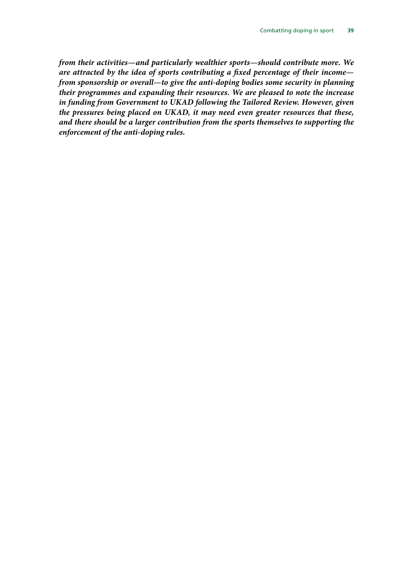*from their activities—and particularly wealthier sports—should contribute more. We are attracted by the idea of sports contributing a fixed percentage of their income from sponsorship or overall—to give the anti-doping bodies some security in planning their programmes and expanding their resources. We are pleased to note the increase in funding from Government to UKAD following the Tailored Review. However, given the pressures being placed on UKAD, it may need even greater resources that these, and there should be a larger contribution from the sports themselves to supporting the enforcement of the anti-doping rules.*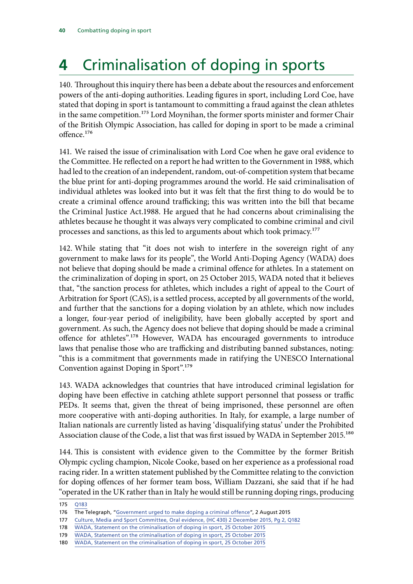## <span id="page-41-0"></span>**4** Criminalisation of doping in sports

140. Throughout this inquiry there has been a debate about the resources and enforcement powers of the anti-doping authorities. Leading figures in sport, including Lord Coe, have stated that doping in sport is tantamount to committing a fraud against the clean athletes in the same competition.<sup>175</sup> Lord Moynihan, the former sports minister and former Chair of the British Olympic Association, has called for doping in sport to be made a criminal offence.176

141. We raised the issue of criminalisation with Lord Coe when he gave oral evidence to the Committee. He reflected on a report he had written to the Government in 1988, which had led to the creation of an independent, random, out-of-competition system that became the blue print for anti-doping programmes around the world. He said criminalisation of individual athletes was looked into but it was felt that the first thing to do would be to create a criminal offence around trafficking; this was written into the bill that became the Criminal Justice Act.1988. He argued that he had concerns about criminalising the athletes because he thought it was always very complicated to combine criminal and civil processes and sanctions, as this led to arguments about which took primacy.177

142. While stating that "it does not wish to interfere in the sovereign right of any government to make laws for its people", the World Anti-Doping Agency (WADA) does not believe that doping should be made a criminal offence for athletes. In a statement on the criminalization of doping in sport, on 25 October 2015, WADA noted that it believes that, "the sanction process for athletes, which includes a right of appeal to the Court of Arbitration for Sport (CAS), is a settled process, accepted by all governments of the world, and further that the sanctions for a doping violation by an athlete, which now includes a longer, four-year period of ineligibility, have been globally accepted by sport and government. As such, the Agency does not believe that doping should be made a criminal offence for athletes".178 However, WADA has encouraged governments to introduce laws that penalise those who are trafficking and distributing banned substances, noting: "this is a commitment that governments made in ratifying the UNESCO International Convention against Doping in Sport".179

143. WADA acknowledges that countries that have introduced criminal legislation for doping have been effective in catching athlete support personnel that possess or traffic PEDs. It seems that, given the threat of being imprisoned, these personnel are often more cooperative with anti-doping authorities. In Italy, for example, a large number of Italian nationals are currently listed as having 'disqualifying status' under the Prohibited Association clause of the Code, a list that was first issued by WADA in September 2015.<sup>180</sup>

144. This is consistent with evidence given to the Committee by the former British Olympic cycling champion, Nicole Cooke, based on her experience as a professional road racing rider. In a written statement published by the Committee relating to the conviction for doping offences of her former team boss, William Dazzani, she said that if he had "operated in the UK rather than in Italy he would still be running doping rings, producing

<sup>175</sup> [Q183](http://data.parliament.uk/writtenevidence/committeeevidence.svc/evidencedocument/culture-media-and-sport-committee/combatting-doping-in-sport/oral/25643.pdf)

<sup>176</sup> The Telegraph, ["Government urged to make doping a criminal offence](http://www.telegraph.co.uk/sport/othersports/athletics/11779464/Government-urged-to-make-doping-a-criminal-offence-after-new-scandal-engulfs-athletics.html)", 2 August 2015

<sup>177</sup> [Culture, Media and Sport Committee, Oral evidence, \(HC 430\) 2 December 2015, Pg 2, Q182](http://data.parliament.uk/writtenevidence/committeeevidence.svc/evidencedocument/culture-media-and-sport-committee/blood-doping-in-athletics/oral/25643.html)

<sup>178</sup> [WADA, Statement on the criminalisation of doping in sport, 25 October 2015](https://www.wada-ama.org/en/media/news/2015-10/wada-statement-on-the-criminalization-of-doping-in-sport)

<sup>179</sup> [WADA, Statement on the criminalisation of doping in sport, 25 October 2015](https://www.wada-ama.org/en/media/news/2015-10/wada-statement-on-the-criminalization-of-doping-in-sport)

<sup>180</sup> [WADA, Statement on the criminalisation of doping in sport, 25 October 2015](https://www.wada-ama.org/en/media/news/2015-10/wada-statement-on-the-criminalization-of-doping-in-sport)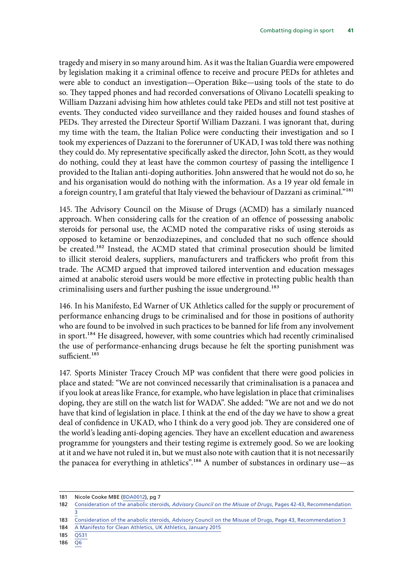tragedy and misery in so many around him. As it was the Italian Guardia were empowered by legislation making it a criminal offence to receive and procure PEDs for athletes and were able to conduct an investigation—Operation Bike—using tools of the state to do so. They tapped phones and had recorded conversations of Olivano Locatelli speaking to William Dazzani advising him how athletes could take PEDs and still not test positive at events. They conducted video surveillance and they raided houses and found stashes of PEDs. They arrested the Directeur Sportif William Dazzani. I was ignorant that, during my time with the team, the Italian Police were conducting their investigation and so I took my experiences of Dazzani to the forerunner of UKAD, I was told there was nothing they could do. My representative specifically asked the director, John Scott, as they would do nothing, could they at least have the common courtesy of passing the intelligence I provided to the Italian anti-doping authorities. John answered that he would not do so, he and his organisation would do nothing with the information. As a 19 year old female in a foreign country, I am grateful that Italy viewed the behaviour of Dazzani as criminal."<sup>181</sup>

145. The Advisory Council on the Misuse of Drugs (ACMD) has a similarly nuanced approach. When considering calls for the creation of an offence of possessing anabolic steroids for personal use, the ACMD noted the comparative risks of using steroids as opposed to ketamine or benzodiazepines, and concluded that no such offence should be created.<sup>182</sup> Instead, the ACMD stated that criminal prosecution should be limited to illicit steroid dealers, suppliers, manufacturers and traffickers who profit from this trade. The ACMD argued that improved tailored intervention and education messages aimed at anabolic steroid users would be more effective in protecting public health than criminalising users and further pushing the issue underground.<sup>183</sup>

146. In his Manifesto, Ed Warner of UK Athletics called for the supply or procurement of performance enhancing drugs to be criminalised and for those in positions of authority who are found to be involved in such practices to be banned for life from any involvement in sport.<sup>184</sup> He disagreed, however, with some countries which had recently criminalised the use of performance-enhancing drugs because he felt the sporting punishment was sufficient.<sup>185</sup>

147. Sports Minister Tracey Crouch MP was confident that there were good policies in place and stated: "We are not convinced necessarily that criminalisation is a panacea and if you look at areas like France, for example, who have legislation in place that criminalises doping, they are still on the watch list for WADA". She added: "We are not and we do not have that kind of legislation in place. I think at the end of the day we have to show a great deal of confidence in UKAD, who I think do a very good job. They are considered one of the world's leading anti-doping agencies. They have an excellent education and awareness programme for youngsters and their testing regime is extremely good. So we are looking at it and we have not ruled it in, but we must also note with caution that it is not necessarily the panacea for everything in athletics".186 A number of substances in ordinary use—as

186 [Q6](http://data.parliament.uk/writtenevidence/committeeevidence.svc/evidencedocument/culture-media-and-sport-committee/work-of-the-sports-minister/oral/26710.html)

<sup>181</sup> Nicole Cooke MBE [\(BDA0012](http://data.parliament.uk/writtenevidence/committeeevidence.svc/evidencedocument/culture-media-and-sport-committee/combatting-doping-in-sport/written/45898.pdf)), pg 7

<sup>182</sup> Consideration of the anabolic steroids, *[Advisory Council on the Misuse of Drugs](https://www.gov.uk/government/uploads/system/uploads/attachment_data/file/119132/anabolic-steroids.pdf)*, Pages 42-43, Recommendation [3](https://www.gov.uk/government/uploads/system/uploads/attachment_data/file/119132/anabolic-steroids.pdf)

<sup>183</sup> [Consideration of the anabolic steroids, Advisory Council on the Misuse of Drugs, Page 43, Recommendation 3](https://www.gov.uk/government/uploads/system/uploads/attachment_data/file/119132/anabolic-steroids.pdf)

<sup>184</sup> [A Manifesto for Clean Athletics, UK Athletics, January 2015](http://www.britishathletics.org.uk/media/news/2016-news-page/january-2016/11-01-16-manifesto/)

<sup>185</sup> [Q531](http://data.parliament.uk/writtenevidence/committeeevidence.svc/evidencedocument/culture-media-and-sport-committee/blood-doping-in-athletics/oral/28038.html)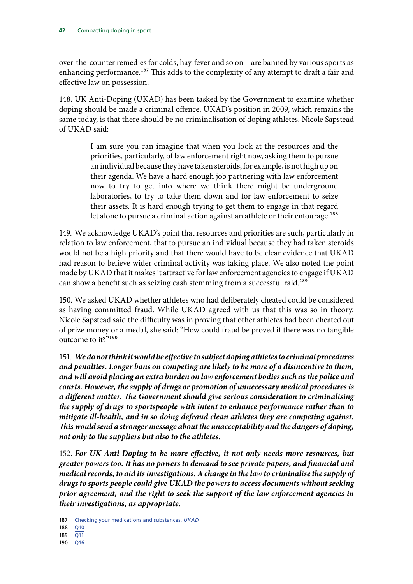over-the-counter remedies for colds, hay-fever and so on—are banned by various sports as enhancing performance.<sup>187</sup> This adds to the complexity of any attempt to draft a fair and effective law on possession.

148. UK Anti-Doping (UKAD) has been tasked by the Government to examine whether doping should be made a criminal offence. UKAD's position in 2009, which remains the same today, is that there should be no criminalisation of doping athletes. Nicole Sapstead of UKAD said:

> I am sure you can imagine that when you look at the resources and the priorities, particularly, of law enforcement right now, asking them to pursue an individual because they have taken steroids, for example, is not high up on their agenda. We have a hard enough job partnering with law enforcement now to try to get into where we think there might be underground laboratories, to try to take them down and for law enforcement to seize their assets. It is hard enough trying to get them to engage in that regard let alone to pursue a criminal action against an athlete or their entourage.<sup>188</sup>

149. We acknowledge UKAD's point that resources and priorities are such, particularly in relation to law enforcement, that to pursue an individual because they had taken steroids would not be a high priority and that there would have to be clear evidence that UKAD had reason to believe wider criminal activity was taking place. We also noted the point made by UKAD that it makes it attractive for law enforcement agencies to engage if UKAD can show a benefit such as seizing cash stemming from a successful raid.<sup>189</sup>

150. We asked UKAD whether athletes who had deliberately cheated could be considered as having committed fraud. While UKAD agreed with us that this was so in theory, Nicole Sapstead said the difficulty was in proving that other athletes had been cheated out of prize money or a medal, she said: "How could fraud be proved if there was no tangible outcome to it?"<sup>190</sup>

151. *We do not think it would be effective to subject doping athletes to criminal procedures and penalties. Longer bans on competing are likely to be more of a disincentive to them, and will avoid placing an extra burden on law enforcement bodies such as the police and courts. However, the supply of drugs or promotion of unnecessary medical procedures is a different matter. The Government should give serious consideration to criminalising the supply of drugs to sportspeople with intent to enhance performance rather than to mitigate ill-health, and in so doing defraud clean athletes they are competing against. This would send a stronger message about the unacceptability and the dangers of doping, not only to the suppliers but also to the athletes.*

152. *For UK Anti-Doping to be more effective, it not only needs more resources, but greater powers too. It has no powers to demand to see private papers, and financial and medical records, to aid its investigations. A change in the law to criminalise the supply of drugs to sports people could give UKAD the powers to access documents without seeking prior agreement, and the right to seek the support of the law enforcement agencies in their investigations, as appropriate.*

190 [Q16](http://data.parliament.uk/writtenevidence/committeeevidence.svc/evidencedocument/culture-media-and-sport-committee/blood-doping-in-athletics/oral/28038.html)

<sup>187</sup> [Checking your medications and substances,](http://www.ukad.org.uk/medications-and-substances/checking-medications/) *UKAD*

<sup>188</sup> [Q10](http://data.parliament.uk/writtenevidence/committeeevidence.svc/evidencedocument/culture-media-and-sport-committee/blood-doping-in-athletics/oral/28038.html)

<sup>189</sup> [Q11](http://data.parliament.uk/writtenevidence/committeeevidence.svc/evidencedocument/culture-media-and-sport-committee/blood-doping-in-athletics/oral/28038.html)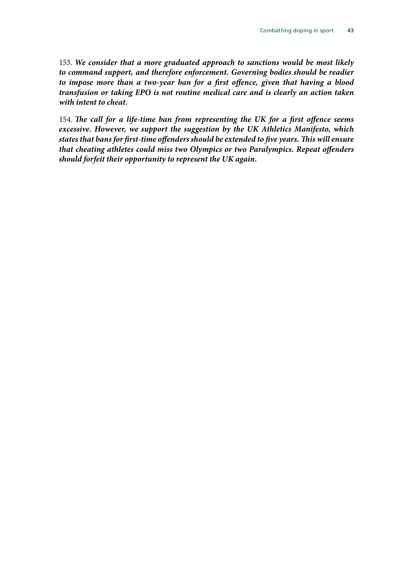153. *We consider that a more graduated approach to sanctions would be most likely to command support, and therefore enforcement. Governing bodies should be readier to impose more than a two-year ban for a first offence, given that having a blood transfusion or taking EPO is not routine medical care and is clearly an action taken with intent to cheat.*

154. *The call for a life-time ban from representing the UK for a first offence seems excessive. However, we support the suggestion by the UK Athletics Manifesto, which states that bans for first-time offenders should be extended to five years. This will ensure that cheating athletes could miss two Olympics or two Paralympics. Repeat offenders should forfeit their opportunity to represent the UK again.*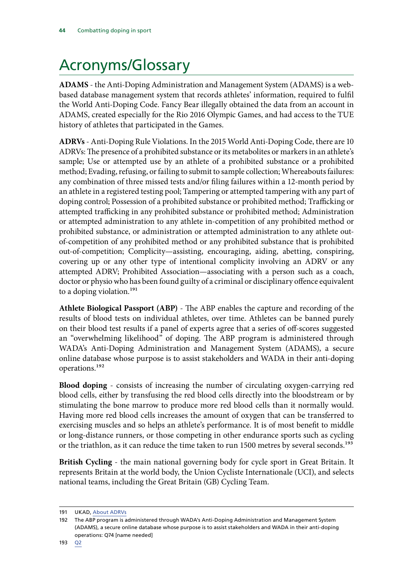## <span id="page-45-0"></span>Acronyms/Glossary

**ADAMS** - the Anti-Doping Administration and Management System (ADAMS) is a webbased database management system that records athletes' information, required to fulfil the World Anti-Doping Code. Fancy Bear illegally obtained the data from an account in ADAMS, created especially for the Rio 2016 Olympic Games, and had access to the TUE history of athletes that participated in the Games.

**ADRVs** - Anti-Doping Rule Violations. In the 2015 World Anti-Doping Code, there are 10 ADRVs: The presence of a prohibited substance or its metabolites or markers in an athlete's sample; Use or attempted use by an athlete of a prohibited substance or a prohibited method; Evading, refusing, or failing to submit to sample collection; Whereabouts failures: any combination of three missed tests and/or filing failures within a 12-month period by an athlete in a registered testing pool; Tampering or attempted tampering with any part of doping control; Possession of a prohibited substance or prohibited method; Trafficking or attempted trafficking in any prohibited substance or prohibited method; Administration or attempted administration to any athlete in-competition of any prohibited method or prohibited substance, or administration or attempted administration to any athlete outof-competition of any prohibited method or any prohibited substance that is prohibited out-of-competition; Complicity—assisting, encouraging, aiding, abetting, conspiring, covering up or any other type of intentional complicity involving an ADRV or any attempted ADRV; Prohibited Association—associating with a person such as a coach, doctor or physio who has been found guilty of a criminal or disciplinary offence equivalent to a doping violation.<sup>191</sup>

**Athlete Biological Passport (ABP)** - The ABP enables the capture and recording of the results of blood tests on individual athletes, over time. Athletes can be banned purely on their blood test results if a panel of experts agree that a series of off-scores suggested an "overwhelming likelihood" of doping. The ABP program is administered through WADA's Anti-Doping Administration and Management System (ADAMS), a secure online database whose purpose is to assist stakeholders and WADA in their anti-doping operations.192

**Blood doping** - consists of increasing the number of circulating oxygen-carrying red blood cells, either by transfusing the red blood cells directly into the bloodstream or by stimulating the bone marrow to produce more red blood cells than it normally would. Having more red blood cells increases the amount of oxygen that can be transferred to exercising muscles and so helps an athlete's performance. It is of most benefit to middle or long-distance runners, or those competing in other endurance sports such as cycling or the triathlon, as it can reduce the time taken to run 1500 metres by several seconds.<sup>193</sup>

**British Cycling** - the main national governing body for cycle sport in Great Britain. It represents Britain at the world body, the Union Cycliste Internationale (UCI), and selects national teams, including the Great Britain (GB) Cycling Team.

<sup>191</sup> UKAD, [About ADRVs](http://www.ukad.org.uk/anti-doping-rule-violations/about-adrvs)

<sup>192</sup> The ABP program is administered through WADA's Anti-Doping Administration and Management System (ADAMS), a secure online database whose purpose is to assist stakeholders and WADA in their anti-doping operations: Q74 [name needed]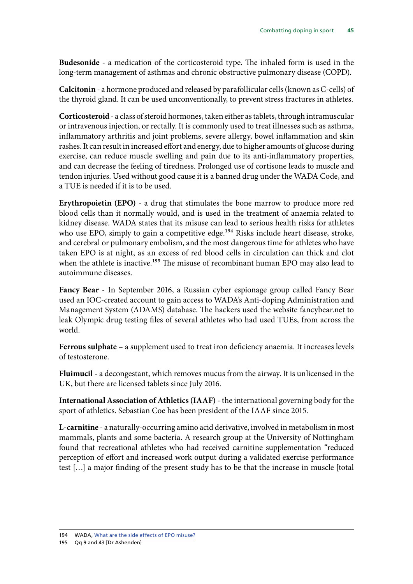**Budesonide** - a medication of the corticosteroid type. The inhaled form is used in the long-term management of asthmas and chronic obstructive pulmonary disease (COPD).

**Calcitonin** - a hormone produced and released by parafollicular cells (known as C-cells) of the thyroid gland. It can be used unconventionally, to prevent stress fractures in athletes.

**Corticosteroid** - a class of steroid hormones, taken either as tablets, through intramuscular or intravenous injection, or rectally. It is commonly used to treat illnesses such as asthma, inflammatory arthritis and joint problems, severe allergy, bowel inflammation and skin rashes. It can result in increased effort and energy, due to higher amounts of glucose during exercise, can reduce muscle swelling and pain due to its anti-inflammatory properties, and can decrease the feeling of tiredness. Prolonged use of cortisone leads to muscle and tendon injuries. Used without good cause it is a banned drug under the WADA Code, and a TUE is needed if it is to be used.

**Erythropoietin (EPO)** - a drug that stimulates the bone marrow to produce more red blood cells than it normally would, and is used in the treatment of anaemia related to kidney disease. WADA states that its misuse can lead to serious health risks for athletes who use EPO, simply to gain a competitive edge.<sup>194</sup> Risks include heart disease, stroke, and cerebral or pulmonary embolism, and the most dangerous time for athletes who have taken EPO is at night, as an excess of red blood cells in circulation can thick and clot when the athlete is inactive.<sup>195</sup> The misuse of recombinant human EPO may also lead to autoimmune diseases.

**Fancy Bear** - In September 2016, a Russian cyber espionage group called Fancy Bear used an IOC-created account to gain access to WADA's Anti-doping Administration and Management System (ADAMS) database. The hackers used the website fancybear.net to leak Olympic drug testing files of several athletes who had used TUEs, from across the world.

**Ferrous sulphate** – a supplement used to treat iron deficiency anaemia. It increases levels of testosterone.

**Fluimucil** - a decongestant, which removes mucus from the airway. It is unlicensed in the UK, but there are licensed tablets since July 2016.

**International Association of Athletics (IAAF)** - the international governing body for the sport of athletics. Sebastian Coe has been president of the IAAF since 2015.

**L-carnitine** - a naturally-occurring amino acid derivative, involved in metabolism in most mammals, plants and some bacteria. A research group at the University of Nottingham found that recreational athletes who had received carnitine supplementation "reduced perception of effort and increased work output during a validated exercise performance test […] a major finding of the present study has to be that the increase in muscle [total

<sup>194</sup> WADA, What are the side effects of EPO misuse?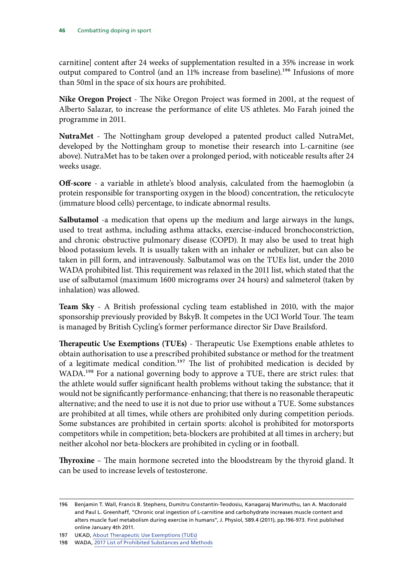carnitine] content after 24 weeks of supplementation resulted in a 35% increase in work output compared to Control (and an 11% increase from baseline).<sup>196</sup> Infusions of more than 50ml in the space of six hours are prohibited.

**Nike Oregon Project** - The Nike Oregon Project was formed in 2001, at the request of Alberto Salazar, to increase the performance of elite US athletes. Mo Farah joined the programme in 2011.

**NutraMet** - The Nottingham group developed a patented product called NutraMet, developed by the Nottingham group to monetise their research into L-carnitine (see above). NutraMet has to be taken over a prolonged period, with noticeable results after 24 weeks usage.

**Off-score** - a variable in athlete's blood analysis, calculated from the haemoglobin (a protein responsible for transporting oxygen in the blood) concentration, the reticulocyte (immature blood cells) percentage, to indicate abnormal results.

**Salbutamol** -a medication that opens up the medium and large airways in the lungs, used to treat asthma, including asthma attacks, exercise-induced bronchoconstriction, and chronic obstructive pulmonary disease (COPD). It may also be used to treat high blood potassium levels. It is usually taken with an inhaler or nebulizer, but can also be taken in pill form, and intravenously. Salbutamol was on the TUEs list, under the 2010 WADA prohibited list. This requirement was relaxed in the 2011 list, which stated that the use of salbutamol (maximum 1600 micrograms over 24 hours) and salmeterol (taken by inhalation) was allowed.

**Team Sky** - A British professional cycling team established in 2010, with the major sponsorship previously provided by BskyB. It competes in the UCI World Tour. The team is managed by British Cycling's former performance director Sir Dave Brailsford.

**Therapeutic Use Exemptions (TUEs)** - Therapeutic Use Exemptions enable athletes to obtain authorisation to use a prescribed prohibited substance or method for the treatment of a legitimate medical condition.<sup>197</sup> The list of prohibited medication is decided by WADA.<sup>198</sup> For a national governing body to approve a TUE, there are strict rules: that the athlete would suffer significant health problems without taking the substance; that it would not be significantly performance-enhancing; that there is no reasonable therapeutic alternative; and the need to use it is not due to prior use without a TUE. Some substances are prohibited at all times, while others are prohibited only during competition periods. Some substances are prohibited in certain sports: alcohol is prohibited for motorsports competitors while in competition; beta-blockers are prohibited at all times in archery; but neither alcohol nor beta-blockers are prohibited in cycling or in football.

**Thyroxine** – The main hormone secreted into the bloodstream by the thyroid gland. It can be used to increase levels of testosterone.

<sup>196</sup> Benjamin T. Wall, Francis B. Stephens, Dumitru Constantin-Teodosiu, Kanagaraj Marimuthu, Ian A. Macdonald and Paul L. Greenhaff, "Chronic oral ingestion of L-carnitine and carbohydrate increases muscle content and alters muscle fuel metabolism during exercise in humans", J. Physiol, 589.4 (2011), pp.196-973. First published online January 4th 2011.

<sup>197</sup> UKAD, [About Therapeutic Use Exemptions \(TUEs\)](http://ukad.org.uk/medications-and-substances/about-TUE/)

<sup>198</sup> WADA, [2017 List of Prohibited Substances and Methods](https://www.wada-ama.org/en/prohibited-list)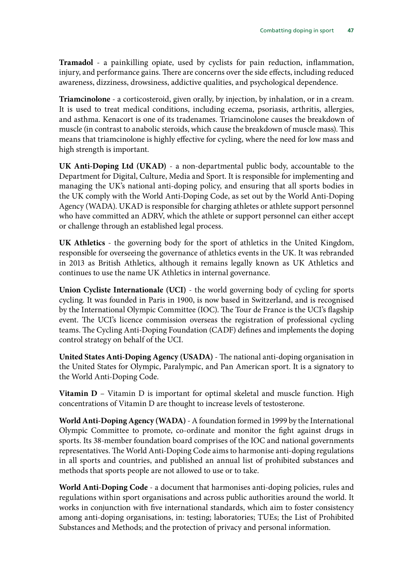**Tramadol** - a painkilling opiate, used by cyclists for pain reduction, inflammation, injury, and performance gains. There are concerns over the side effects, including reduced awareness, dizziness, drowsiness, addictive qualities, and psychological dependence.

**Triamcinolone** - a corticosteroid, given orally, by injection, by inhalation, or in a cream. It is used to treat medical conditions, including eczema, psoriasis, arthritis, allergies, and asthma. Kenacort is one of its tradenames. Triamcinolone causes the breakdown of muscle (in contrast to anabolic steroids, which cause the breakdown of muscle mass). This means that triamcinolone is highly effective for cycling, where the need for low mass and high strength is important.

**UK Anti-Doping Ltd (UKAD)** - a non-departmental public body, accountable to the Department for Digital, Culture, Media and Sport. It is responsible for implementing and managing the UK's national anti-doping policy, and ensuring that all sports bodies in the UK comply with the World Anti-Doping Code, as set out by the World Anti-Doping Agency (WADA). UKAD is responsible for charging athletes or athlete support personnel who have committed an ADRV, which the athlete or support personnel can either accept or challenge through an established legal process.

**UK Athletics** - the governing body for the sport of athletics in the United Kingdom, responsible for overseeing the governance of athletics events in the UK. It was rebranded in 2013 as British Athletics, although it remains legally known as UK Athletics and continues to use the name UK Athletics in internal governance.

**Union Cycliste Internationale (UCI)** - the world governing body of cycling for sports cycling. It was founded in Paris in 1900, is now based in Switzerland, and is recognised by the International Olympic Committee (IOC). The Tour de France is the UCI's flagship event. The UCI's licence commission overseas the registration of professional cycling teams. The Cycling Anti-Doping Foundation (CADF) defines and implements the doping control strategy on behalf of the UCI.

**United States Anti-Doping Agency (USADA)** - The national anti-doping organisation in the United States for Olympic, Paralympic, and Pan American sport. It is a signatory to the World Anti-Doping Code.

**Vitamin D** – Vitamin D is important for optimal skeletal and muscle function. High concentrations of Vitamin D are thought to increase levels of testosterone.

**World Anti-Doping Agency (WADA)** - A foundation formed in 1999 by the International Olympic Committee to promote, co-ordinate and monitor the fight against drugs in sports. Its 38-member foundation board comprises of the IOC and national governments representatives. The World Anti-Doping Code aims to harmonise anti-doping regulations in all sports and countries, and published an annual list of prohibited substances and methods that sports people are not allowed to use or to take.

**World Anti-Doping Code** - a document that harmonises anti-doping policies, rules and regulations within sport organisations and across public authorities around the world. It works in conjunction with five international standards, which aim to foster consistency among anti-doping organisations, in: testing; laboratories; TUEs; the List of Prohibited Substances and Methods; and the protection of privacy and personal information.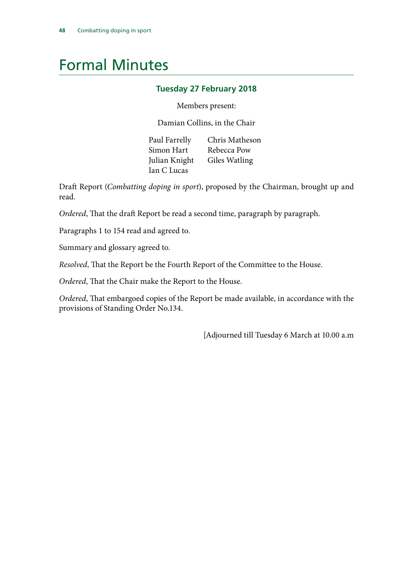## <span id="page-49-0"></span>Formal Minutes

#### **Tuesday 27 February 2018**

#### Members present:

Damian Collins, in the Chair

Paul Farrelly Chris Matheson Simon Hart Rebecca Pow Julian Knight Giles Watling Ian C Lucas

Draft Report (*Combatting doping in sport*), proposed by the Chairman, brought up and read.

*Ordered*, That the draft Report be read a second time, paragraph by paragraph.

Paragraphs 1 to 154 read and agreed to.

Summary and glossary agreed to.

*Resolved*, That the Report be the Fourth Report of the Committee to the House.

*Ordered*, That the Chair make the Report to the House.

*Ordered*, That embargoed copies of the Report be made available, in accordance with the provisions of Standing Order No.134.

[Adjourned till Tuesday 6 March at 10.00 a.m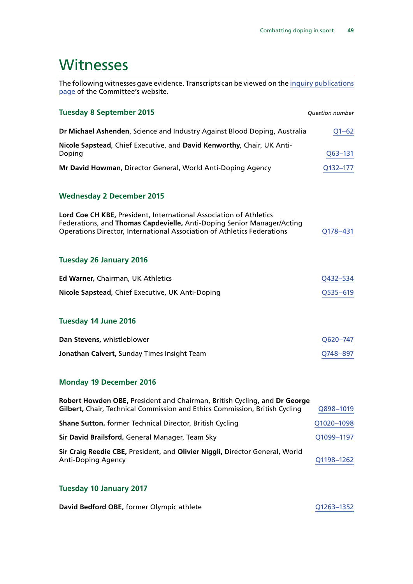## <span id="page-50-0"></span>**Witnesses**

The following witnesses gave evidence. Transcripts can be viewed on the [inquiry publications](http://www.parliament.uk/business/committees/committees-a-z/commons-select/culture-media-and-sport-committee/inquiries/parliament-2015/blood-doping-15-16/publications/) [page](http://www.parliament.uk/business/committees/committees-a-z/commons-select/culture-media-and-sport-committee/inquiries/parliament-2015/blood-doping-15-16/publications/) of the Committee's website.

| <b>Tuesday 8 September 2015</b>                                                                                                                                                                                         | <b>Question number</b> |
|-------------------------------------------------------------------------------------------------------------------------------------------------------------------------------------------------------------------------|------------------------|
| Dr Michael Ashenden, Science and Industry Against Blood Doping, Australia                                                                                                                                               | $Q1 - 62$              |
| Nicole Sapstead, Chief Executive, and David Kenworthy, Chair, UK Anti-<br>Doping                                                                                                                                        | Q63-131                |
| Mr David Howman, Director General, World Anti-Doping Agency                                                                                                                                                             | Q132-177               |
| <b>Wednesday 2 December 2015</b>                                                                                                                                                                                        |                        |
| Lord Coe CH KBE, President, International Association of Athletics<br>Federations, and Thomas Capdevielle, Anti-Doping Senior Manager/Acting<br>Operations Director, International Association of Athletics Federations | Q178-431               |
| <b>Tuesday 26 January 2016</b>                                                                                                                                                                                          |                        |
| Ed Warner, Chairman, UK Athletics                                                                                                                                                                                       | Q432-534               |
| Nicole Sapstead, Chief Executive, UK Anti-Doping                                                                                                                                                                        | Q535-619               |
| Tuesday 14 June 2016                                                                                                                                                                                                    |                        |
| Dan Stevens, whistleblower                                                                                                                                                                                              | Q620-747               |
| Jonathan Calvert, Sunday Times Insight Team                                                                                                                                                                             | Q748-897               |
| <b>Monday 19 December 2016</b>                                                                                                                                                                                          |                        |

| Robert Howden OBE, President and Chairman, British Cycling, and Dr George<br>Gilbert, Chair, Technical Commission and Ethics Commission, British Cycling | Q898-1019  |
|----------------------------------------------------------------------------------------------------------------------------------------------------------|------------|
| <b>Shane Sutton, former Technical Director, British Cycling</b>                                                                                          | Q1020-1098 |
| Sir David Brailsford, General Manager, Team Sky                                                                                                          | Q1099-1197 |
| Sir Craig Reedie CBE, President, and Olivier Niggli, Director General, World<br><b>Anti-Doping Agency</b>                                                | Q1198-1262 |

#### **Tuesday 10 January 2017**

| David Bedford OBE, former Olympic athlete | Q1263-1352 |
|-------------------------------------------|------------|
|-------------------------------------------|------------|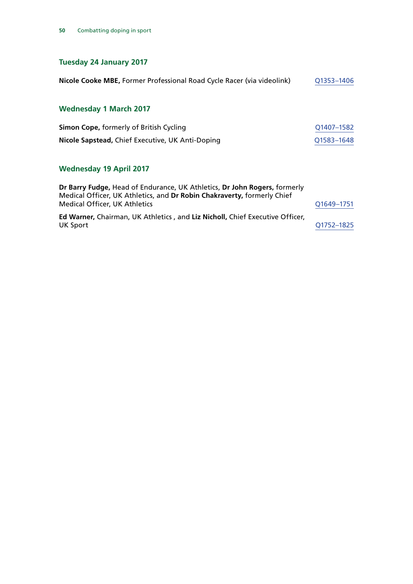### **Tuesday 24 January 2017**

| Nicole Cooke MBE, Former Professional Road Cycle Racer (via videolink) | Q1353-1406 |
|------------------------------------------------------------------------|------------|
| <b>Wednesday 1 March 2017</b>                                          |            |
| <b>Simon Cope, formerly of British Cycling</b>                         | Q1407-1582 |

| Nicole Sapstead, Chief Executive, UK Anti-Doping |  | Q1583-1648 |
|--------------------------------------------------|--|------------|

### **Wednesday 19 April 2017**

| Dr Barry Fudge, Head of Endurance, UK Athletics, Dr John Rogers, formerly<br>Medical Officer, UK Athletics, and Dr Robin Chakraverty, formerly Chief |            |
|------------------------------------------------------------------------------------------------------------------------------------------------------|------------|
| <b>Medical Officer, UK Athletics</b>                                                                                                                 | Q1649-1751 |
| Ed Warner, Chairman, UK Athletics, and Liz Nicholl, Chief Executive Officer,                                                                         |            |
| UK Sport                                                                                                                                             | 01752-1825 |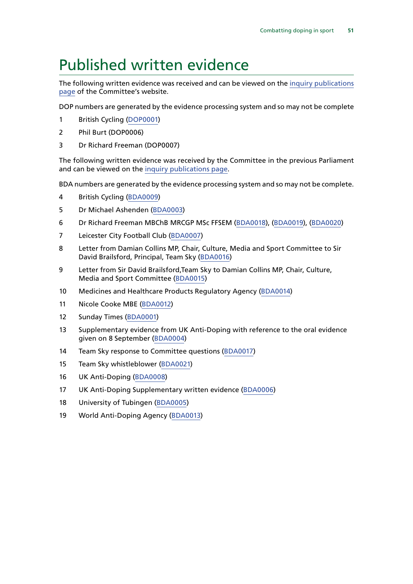## <span id="page-52-0"></span>Published written evidence

The following written evidence was received and can be viewed on the [inquiry publications](http://www.parliament.uk/business/committees/committees-a-z/commons-select/digital-culture-media-and-sport-committee/inquiries/parliament-2017/inquiry/publications/) [page](http://www.parliament.uk/business/committees/committees-a-z/commons-select/digital-culture-media-and-sport-committee/inquiries/parliament-2017/inquiry/publications/) of the Committee's website.

DOP numbers are generated by the evidence processing system and so may not be complete

- 1 British Cycling ([DOP0001\)](http://data.parliament.uk/writtenevidence/committeeevidence.svc/evidencedocument/digital-culture-media-and-sport-committee/combatting-doping-in-sport/written/71215.html)
- 2 Phil Burt (DOP0006)
- 3 Dr Richard Freeman (DOP0007)

The following written evidence was received by the Committee in the previous Parliament and can be viewed on the [inquiry publications page](http://www.parliament.uk/business/committees/committees-a-z/commons-select/culture-media-and-sport-committee/inquiries/parliament-2015/blood-doping-15-16/publications/).

BDA numbers are generated by the evidence processing system and so may not be complete.

- 4 British Cycling ([BDA0009\)](http://data.parliament.uk/WrittenEvidence/CommitteeEvidence.svc/EvidenceDocument/Culture,%20Media%20and%20Sport/Combatting%20Doping%20in%20Sport/written/45355.html)
- 5 Dr Michael Ashenden [\(BDA0003](http://data.parliament.uk/WrittenEvidence/CommitteeEvidence.svc/EvidenceDocument/Culture,%20Media%20and%20Sport/Combatting%20Doping%20in%20Sport/written/21284.html))
- 6 Dr Richard Freeman MBChB MRCGP MSc FFSEM ([BDA0018\)](http://data.parliament.uk/WrittenEvidence/CommitteeEvidence.svc/EvidenceDocument/Culture,%20Media%20and%20Sport/Combatting%20Doping%20in%20Sport/written/49391.html), [\(BDA0019](http://data.parliament.uk/WrittenEvidence/CommitteeEvidence.svc/EvidenceDocument/Culture,%20Media%20and%20Sport/Combatting%20Doping%20in%20Sport/written/49495.html)), [\(BDA0020\)](http://data.parliament.uk/WrittenEvidence/CommitteeEvidence.svc/EvidenceDocument/Culture,%20Media%20and%20Sport/Combatting%20Doping%20in%20Sport/written/68835.html)
- 7 Leicester City Football Club [\(BDA0007\)](http://data.parliament.uk/WrittenEvidence/CommitteeEvidence.svc/EvidenceDocument/Culture,%20Media%20and%20Sport/Combatting%20Doping%20in%20Sport/written/34586.html)
- 8 Letter from Damian Collins MP, Chair, Culture, Media and Sport Committee to Sir David Brailsford, Principal, Team Sky ([BDA0016](http://data.parliament.uk/WrittenEvidence/CommitteeEvidence.svc/EvidenceDocument/Culture,%20Media%20and%20Sport/Combatting%20Doping%20in%20Sport/written/48775.html))
- 9 Letter from Sir David Brailsford,Team Sky to Damian Collins MP, Chair, Culture, Media and Sport Committee [\(BDA0015](http://data.parliament.uk/WrittenEvidence/CommitteeEvidence.svc/EvidenceDocument/Culture,%20Media%20and%20Sport/Combatting%20Doping%20in%20Sport/written/48767.html))
- 10 Medicines and Healthcare Products Regulatory Agency [\(BDA0014](http://data.parliament.uk/WrittenEvidence/CommitteeEvidence.svc/EvidenceDocument/Culture,%20Media%20and%20Sport/Combatting%20Doping%20in%20Sport/written/48092.html))
- 11 Nicole Cooke MBE ([BDA0012](http://data.parliament.uk/WrittenEvidence/CommitteeEvidence.svc/EvidenceDocument/Culture,%20Media%20and%20Sport/Combatting%20Doping%20in%20Sport/written/45898.html))
- 12 Sunday Times [\(BDA0001\)](http://data.parliament.uk/WrittenEvidence/CommitteeEvidence.svc/EvidenceDocument/Culture,%20Media%20and%20Sport/Combatting%20Doping%20in%20Sport/written/21281.html)
- 13 Supplementary evidence from UK Anti-Doping with reference to the oral evidence given on 8 September [\(BDA0004\)](http://data.parliament.uk/WrittenEvidence/CommitteeEvidence.svc/EvidenceDocument/Culture,%20Media%20and%20Sport/Combatting%20Doping%20in%20Sport/written/23236.html)
- 14 Team Sky response to Committee questions [\(BDA0017](http://data.parliament.uk/WrittenEvidence/CommitteeEvidence.svc/EvidenceDocument/Culture,%20Media%20and%20Sport/Combatting%20Doping%20in%20Sport/written/48780.html))
- 15 Team Sky whistleblower [\(BDA0021](http://data.parliament.uk/WrittenEvidence/CommitteeEvidence.svc/EvidenceDocument/Culture,%20Media%20and%20Sport/Combatting%20Doping%20in%20Sport/written/69004.html))
- 16 UK Anti-Doping ([BDA0008](http://data.parliament.uk/WrittenEvidence/CommitteeEvidence.svc/EvidenceDocument/Culture,%20Media%20and%20Sport/Combatting%20Doping%20in%20Sport/written/44616.html))
- 17 UK Anti-Doping Supplementary written evidence ([BDA0006](http://data.parliament.uk/WrittenEvidence/CommitteeEvidence.svc/EvidenceDocument/Culture,%20Media%20and%20Sport/Combatting%20Doping%20in%20Sport/written/34493.html))
- 18 University of Tubingen ([BDA0005](http://data.parliament.uk/WrittenEvidence/CommitteeEvidence.svc/EvidenceDocument/Culture,%20Media%20and%20Sport/Combatting%20Doping%20in%20Sport/written/28187.html))
- 19 World Anti-Doping Agency [\(BDA0013](http://data.parliament.uk/WrittenEvidence/CommitteeEvidence.svc/EvidenceDocument/Culture,%20Media%20and%20Sport/Combatting%20Doping%20in%20Sport/written/46349.html))